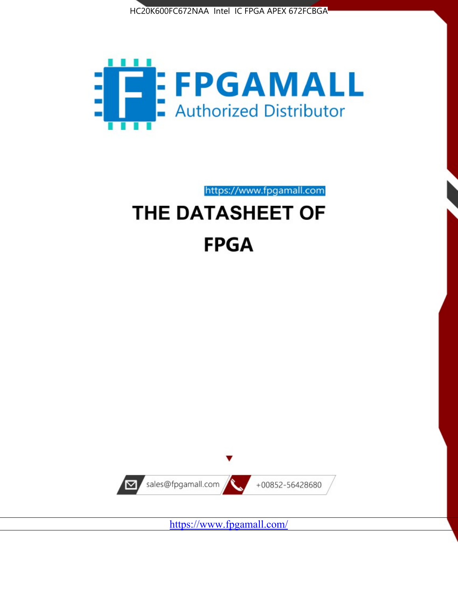



https://www.fpgamall.com

# THE DATASHEET OF **FPGA**



<https://www.fpgamall.com/>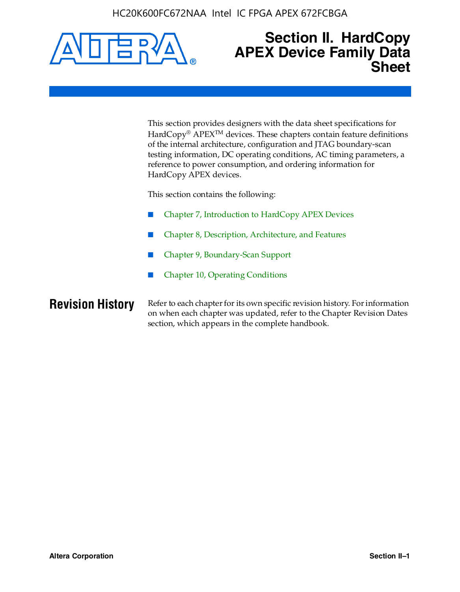

### **Section II. HardCopy APEX Device Family Data Sheet**

This section provides designers with the data sheet specifications for HardCopy<sup>®</sup> APEX<sup>™</sup> devices. These chapters contain feature definitions of the internal architecture, configuration and JTAG boundary-scan testing information, DC operating conditions, AC timing parameters, a reference to power consumption, and ordering information for HardCopy APEX devices.

This section contains the following:

- Chapter 7, Introduction to HardCopy APEX Devices
- Chapter 8, Description, Architecture, and Features
- Chapter 9, Boundary-Scan Support
- Chapter 10, Operating Conditions

**Revision History** Refer to each chapter for its own specific revision history. For information on when each chapter was updated, refer to the Chapter Revision Dates section, which appears in the complete handbook.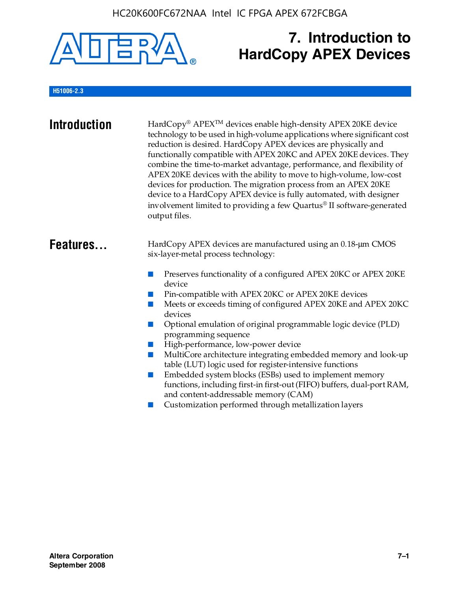

## **7. Introduction to HardCopy APEX Devices**

#### **H51006-2.3**

| <b>Introduction</b> | HardCopy® APEX <sup>™</sup> devices enable high-density APEX 20KE device<br>technology to be used in high-volume applications where significant cost<br>reduction is desired. HardCopy APEX devices are physically and<br>functionally compatible with APEX 20KC and APEX 20KE devices. They<br>combine the time-to-market advantage, performance, and flexibility of<br>APEX 20KE devices with the ability to move to high-volume, low-cost<br>devices for production. The migration process from an APEX 20KE<br>device to a HardCopy APEX device is fully automated, with designer<br>involvement limited to providing a few Quartus® II software-generated<br>output files.                                                                                                                                          |
|---------------------|--------------------------------------------------------------------------------------------------------------------------------------------------------------------------------------------------------------------------------------------------------------------------------------------------------------------------------------------------------------------------------------------------------------------------------------------------------------------------------------------------------------------------------------------------------------------------------------------------------------------------------------------------------------------------------------------------------------------------------------------------------------------------------------------------------------------------|
| Features            | HardCopy APEX devices are manufactured using an 0.18-um CMOS<br>six-layer-metal process technology:<br>Preserves functionality of a configured APEX 20KC or APEX 20KE<br>device<br>Pin-compatible with APEX 20KC or APEX 20KE devices<br>Meets or exceeds timing of configured APEX 20KE and APEX 20KC<br>devices<br>Optional emulation of original programmable logic device (PLD)<br>programming sequence<br>High-performance, low-power device<br>MultiCore architecture integrating embedded memory and look-up<br>m.<br>table (LUT) logic used for register-intensive functions<br>Embedded system blocks (ESBs) used to implement memory<br>functions, including first-in first-out (FIFO) buffers, dual-port RAM,<br>and content-addressable memory (CAM)<br>Customization performed through metallization layers |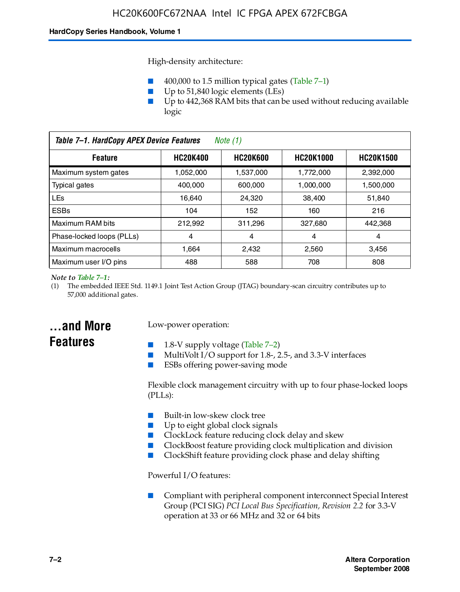High-density architecture:

- 400,000 to 1.5 million typical gates (Table 7–1)
- Up to 51,840 logic elements (LEs)
- Up to 442,368 RAM bits that can be used without reducing available logic

| Table 7-1. HardCopy APEX Device Features<br>Note $(1)$                   |           |           |           |                  |
|--------------------------------------------------------------------------|-----------|-----------|-----------|------------------|
| <b>HC20K600</b><br><b>HC20K1000</b><br><b>HC20K400</b><br><b>Feature</b> |           |           |           | <b>HC20K1500</b> |
| Maximum system gates                                                     | 1,052,000 | 1,537,000 | 1,772,000 | 2,392,000        |
| <b>Typical gates</b>                                                     | 400.000   | 600,000   | 1.000.000 | 1,500,000        |
| <b>LEs</b>                                                               | 16.640    | 24.320    | 38.400    | 51,840           |
| <b>ESBs</b>                                                              | 104       | 152       | 160       | 216              |
| Maximum RAM bits                                                         | 212.992   | 311,296   | 327.680   | 442,368          |
| Phase-locked loops (PLLs)                                                | 4         | 4         | 4         | 4                |
| Maximum macrocells                                                       | 1.664     | 2,432     | 2,560     | 3,456            |
| Maximum user I/O pins                                                    | 488       | 588       | 708       | 808              |

#### *Note to Table 7–1:*

(1) The embedded IEEE Std. 1149.1 Joint Test Action Group (JTAG) boundary-scan circuitry contributes up to 57,000 additional gates.

### **...and More Features**

#### Low-power operation:

- 1.8-V supply voltage (Table  $7-2$ )
- MultiVolt I/O support for 1.8-, 2.5-, and 3.3-V interfaces
- ESBs offering power-saving mode

Flexible clock management circuitry with up to four phase-locked loops (PLLs):

- Built-in low-skew clock tree
- Up to eight global clock signals
- ClockLock feature reducing clock delay and skew
- ClockBoost feature providing clock multiplication and division
- ClockShift feature providing clock phase and delay shifting

Powerful I/O features:

■ Compliant with peripheral component interconnect Special Interest Group (PCI SIG) *PCI Local Bus Specification, Revision 2.2* for 3.3-V operation at 33 or 66 MHz and 32 or 64 bits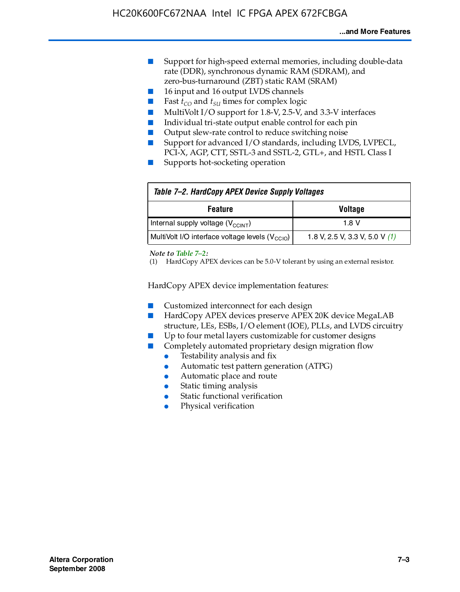- Support for high-speed external memories, including double-data rate (DDR), synchronous dynamic RAM (SDRAM), and zero-bus-turnaround (ZBT) static RAM (SRAM)
- 16 input and 16 output LVDS channels
- Fast  $t_{CO}$  and  $t_{SU}$  times for complex logic
- MultiVolt I/O support for 1.8-V, 2.5-V, and 3.3-V interfaces
- Individual tri-state output enable control for each pin
- Output slew-rate control to reduce switching noise
- Support for advanced I/O standards, including LVDS, LVPECL, PCI-X, AGP, CTT, SSTL-3 and SSTL-2, GTL+, and HSTL Class I
- Supports hot-socketing operation

| Table 7-2. HardCopy APEX Device Supply Voltages             |                                  |
|-------------------------------------------------------------|----------------------------------|
| <b>Voltage</b><br><b>Feature</b>                            |                                  |
| Internal supply voltage (V <sub>CCINT</sub> )               | 1.8 V                            |
| MultiVolt I/O interface voltage levels (V <sub>CCIO</sub> ) | 1.8 V, 2.5 V, 3.3 V, 5.0 V $(1)$ |

#### *Note to Table 7–2:*

(1) HardCopy APEX devices can be 5.0-V tolerant by using an external resistor.

HardCopy APEX device implementation features:

- Customized interconnect for each design
- HardCopy APEX devices preserve APEX 20K device MegaLAB structure, LEs, ESBs, I/O element (IOE), PLLs, and LVDS circuitry
- Up to four metal layers customizable for customer designs
- Completely automated proprietary design migration flow
	- Testability analysis and fix
	- Automatic test pattern generation (ATPG)
	- Automatic place and route
	- Static timing analysis
	- Static functional verification
	- Physical verification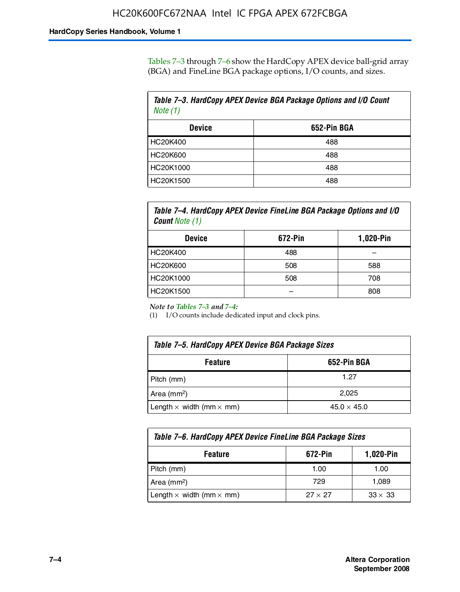Tables 7–3 through 7–6 show the HardCopy APEX device ball-grid array (BGA) and FineLine BGA package options, I/O counts, and sizes.

| Table 7–3. HardCopy APEX Device BGA Package Options and I/O Count<br>Note $(1)$ |             |  |
|---------------------------------------------------------------------------------|-------------|--|
| <b>Device</b>                                                                   | 652-Pin BGA |  |
| HC20K400                                                                        | 488         |  |
| HC20K600                                                                        | 488         |  |
| HC20K1000                                                                       | 488         |  |
| HC20K1500                                                                       | 488         |  |

*Table 7–4. HardCopy APEX Device FineLine BGA Package Options and I/O Count Note (1)*

| <b>Device</b>   | 672-Pin | 1,020-Pin |
|-----------------|---------|-----------|
| HC20K400        | 488     |           |
| <b>HC20K600</b> | 508     | 588       |
| HC20K1000       | 508     | 708       |
| HC20K1500       |         | 808       |

*Note to Tables 7–3 and 7–4:*

(1) I/O counts include dedicated input and clock pins.

| Table 7–5. HardCopy APEX Device BGA Package Sizes |                    |  |
|---------------------------------------------------|--------------------|--|
| 652-Pin BGA<br><b>Feature</b>                     |                    |  |
| Pitch (mm)                                        | 1.27               |  |
| Area (mm <sup>2</sup> )                           | 2.025              |  |
| Length $\times$ width (mm $\times$ mm)            | $45.0 \times 45.0$ |  |

| Table 7–6. HardCopy APEX Device FineLine BGA Package Sizes |                |                |  |
|------------------------------------------------------------|----------------|----------------|--|
| 672-Pin<br>1,020-Pin<br><b>Feature</b>                     |                |                |  |
| Pitch (mm)                                                 | 1.00           | 1.00           |  |
| Area ( $mm2$ )                                             | 729            | 1,089          |  |
| Length $\times$ width (mm $\times$ mm)                     | $27 \times 27$ | $33 \times 33$ |  |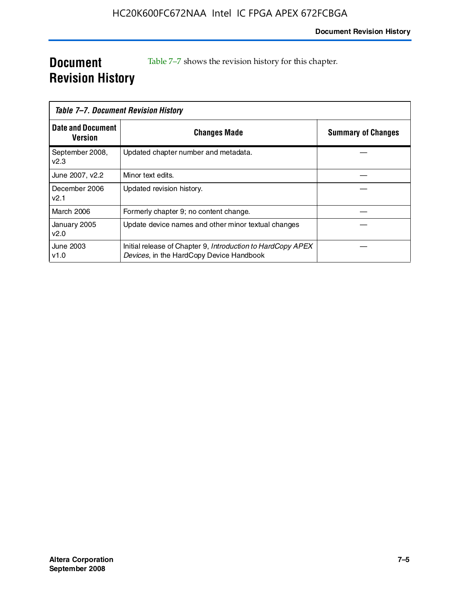### **Document Revision History**

Table 7–7 shows the revision history for this chapter.

| Table 7–7. Document Revision History |                                                                                                         |                           |
|--------------------------------------|---------------------------------------------------------------------------------------------------------|---------------------------|
| <b>Date and Document</b><br>Version  | <b>Changes Made</b>                                                                                     | <b>Summary of Changes</b> |
| September 2008,<br>V <sub>2.3</sub>  | Updated chapter number and metadata.                                                                    |                           |
| June 2007, v2.2                      | Minor text edits.                                                                                       |                           |
| December 2006<br>v2.1                | Updated revision history.                                                                               |                           |
| <b>March 2006</b>                    | Formerly chapter 9; no content change.                                                                  |                           |
| January 2005<br>v2.0                 | Update device names and other minor textual changes                                                     |                           |
| June 2003<br>v1.0                    | Initial release of Chapter 9, Introduction to HardCopy APEX<br>Devices, in the HardCopy Device Handbook |                           |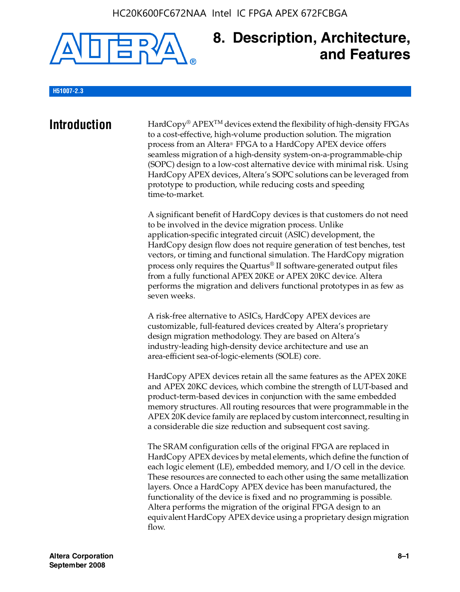#### HC20K600FC672NAA Intel IC FPGA APEX 672FCBGA



### **8. Description, Architecture, and Features**

#### **H51007-2.3**

**Introduction** HardCopy® APEX<sup>™</sup> devices extend the flexibility of high-density FPGAs to a cost-effective, high-volume production solution. The migration process from an Altera® FPGA to a HardCopy APEX device offers seamless migration of a high-density system-on-a-programmable-chip (SOPC) design to a low-cost alternative device with minimal risk. Using HardCopy APEX devices, Altera's SOPC solutions can be leveraged from prototype to production, while reducing costs and speeding time-to-market.

> A significant benefit of HardCopy devices is that customers do not need to be involved in the device migration process. Unlike application-specific integrated circuit (ASIC) development, the HardCopy design flow does not require generation of test benches, test vectors, or timing and functional simulation. The HardCopy migration process only requires the Quartus® II software-generated output files from a fully functional APEX 20KE or APEX 20KC device. Altera performs the migration and delivers functional prototypes in as few as seven weeks.

A risk-free alternative to ASICs, HardCopy APEX devices are customizable, full-featured devices created by Altera's proprietary design migration methodology. They are based on Altera's industry-leading high-density device architecture and use an area-efficient sea-of-logic-elements (SOLE) core.

HardCopy APEX devices retain all the same features as the APEX 20KE and APEX 20KC devices, which combine the strength of LUT-based and product-term-based devices in conjunction with the same embedded memory structures. All routing resources that were programmable in the APEX 20K device family are replaced by custom interconnect, resulting in a considerable die size reduction and subsequent cost saving.

The SRAM configuration cells of the original FPGA are replaced in HardCopy APEX devices by metal elements, which define the function of each logic element (LE), embedded memory, and I/O cell in the device. These resources are connected to each other using the same metallization layers. Once a HardCopy APEX device has been manufactured, the functionality of the device is fixed and no programming is possible. Altera performs the migration of the original FPGA design to an equivalent HardCopy APEX device using a proprietary design migration flow.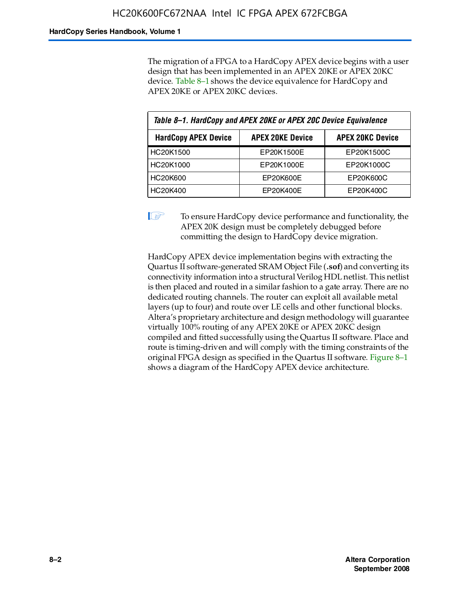The migration of a FPGA to a HardCopy APEX device begins with a user design that has been implemented in an APEX 20KE or APEX 20KC device. Table 8–1 shows the device equivalence for HardCopy and APEX 20KE or APEX 20KC devices.

| Table 8-1. HardCopy and APEX 20KE or APEX 20C Device Equivalence |                         |                         |  |
|------------------------------------------------------------------|-------------------------|-------------------------|--|
| <b>HardCopy APEX Device</b>                                      | <b>APEX 20KE Device</b> | <b>APEX 20KC Device</b> |  |
| HC20K1500                                                        | EP20K1500E              | EP20K1500C              |  |
| HC20K1000                                                        | EP20K1000E              | EP20K1000C              |  |
| <b>HC20K600</b>                                                  | EP20K600E               | EP20K600C               |  |
| HC20K400                                                         | EP20K400E               | EP20K400C               |  |

 $\mathbb{I}$  To ensure HardCopy device performance and functionality, the APEX 20K design must be completely debugged before committing the design to HardCopy device migration.

HardCopy APEX device implementation begins with extracting the Quartus II software-generated SRAM Object File (**.sof**) and converting its connectivity information into a structural Verilog HDL netlist. This netlist is then placed and routed in a similar fashion to a gate array. There are no dedicated routing channels. The router can exploit all available metal layers (up to four) and route over LE cells and other functional blocks. Altera's proprietary architecture and design methodology will guarantee virtually 100% routing of any APEX 20KE or APEX 20KC design compiled and fitted successfully using the Quartus II software. Place and route is timing-driven and will comply with the timing constraints of the original FPGA design as specified in the Quartus II software. Figure 8–1 shows a diagram of the HardCopy APEX device architecture.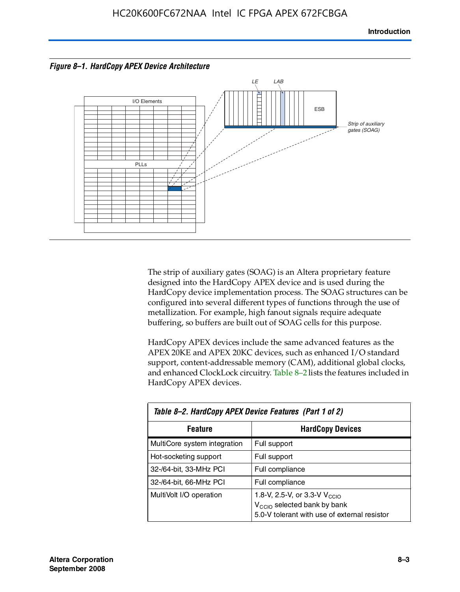



The strip of auxiliary gates (SOAG) is an Altera proprietary feature designed into the HardCopy APEX device and is used during the HardCopy device implementation process. The SOAG structures can be configured into several different types of functions through the use of metallization. For example, high fanout signals require adequate buffering, so buffers are built out of SOAG cells for this purpose.

HardCopy APEX devices include the same advanced features as the APEX 20KE and APEX 20KC devices, such as enhanced I/O standard support, content-addressable memory (CAM), additional global clocks, and enhanced ClockLock circuitry. Table 8–2 lists the features included in HardCopy APEX devices.

| Table 8–2. HardCopy APEX Device Features (Part 1 of 2) |                                                                                                                                     |  |  |
|--------------------------------------------------------|-------------------------------------------------------------------------------------------------------------------------------------|--|--|
| <b>HardCopy Devices</b><br><b>Feature</b>              |                                                                                                                                     |  |  |
| MultiCore system integration                           | Full support                                                                                                                        |  |  |
| Hot-socketing support                                  | Full support                                                                                                                        |  |  |
| 32-/64-bit, 33-MHz PCI                                 | Full compliance                                                                                                                     |  |  |
| 32-/64-bit, 66-MHz PCI                                 | Full compliance                                                                                                                     |  |  |
| MultiVolt I/O operation                                | 1.8-V, 2.5-V, or 3.3-V $V_{\text{CCIO}}$<br>V <sub>CCIO</sub> selected bank by bank<br>5.0-V tolerant with use of external resistor |  |  |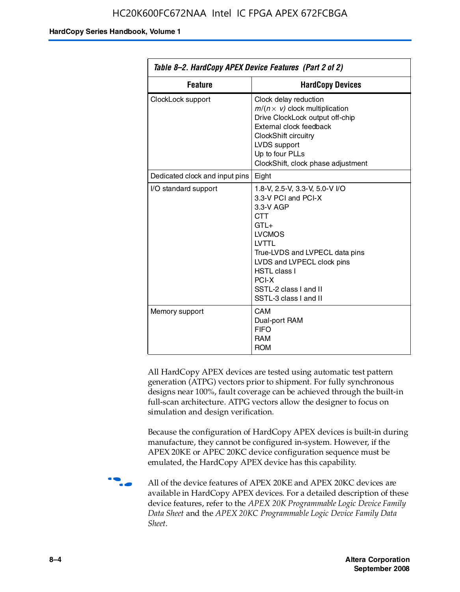| Table 8–2. HardCopy APEX Device Features (Part 2 of 2) |                                                                                                                                                                                                                                                                                |  |
|--------------------------------------------------------|--------------------------------------------------------------------------------------------------------------------------------------------------------------------------------------------------------------------------------------------------------------------------------|--|
| <b>Feature</b><br><b>HardCopy Devices</b>              |                                                                                                                                                                                                                                                                                |  |
| ClockLock support                                      | Clock delay reduction<br>$m/(n \times v)$ clock multiplication<br>Drive ClockLock output off-chip<br>External clock feedback<br>ClockShift circuitry<br>LVDS support<br>Up to four PLLs<br>ClockShift, clock phase adjustment                                                  |  |
| Dedicated clock and input pins                         | Eight                                                                                                                                                                                                                                                                          |  |
| I/O standard support                                   | 1.8-V, 2.5-V, 3.3-V, 5.0-V I/O<br>3.3-V PCI and PCI-X<br>3.3-V AGP<br><b>CTT</b><br>$GTI +$<br><b>LVCMOS</b><br><b>IVTTI</b><br>True-LVDS and LVPECL data pins<br>LVDS and LVPECL clock pins<br><b>HSTL class I</b><br>PCI-X<br>SSTL-2 class I and II<br>SSTL-3 class I and II |  |
| Memory support                                         | CAM<br>Dual-port RAM<br><b>FIFO</b><br><b>RAM</b><br><b>ROM</b>                                                                                                                                                                                                                |  |

All HardCopy APEX devices are tested using automatic test pattern generation (ATPG) vectors prior to shipment. For fully synchronous designs near 100%, fault coverage can be achieved through the built-in full-scan architecture. ATPG vectors allow the designer to focus on simulation and design verification.

Because the configuration of HardCopy APEX devices is built-in during manufacture, they cannot be configured in-system. However, if the APEX 20KE or APEC 20KC device configuration sequence must be emulated, the HardCopy APEX device has this capability.

**f all of the device features of APEX 20KE and APEX 20KC devices are** available in HardCopy APEX devices. For a detailed description of these device features, refer to the *APEX 20K Programmable Logic Device Family Data Sheet* and the *APEX 20KC Programmable Logic Device Family Data Sheet*.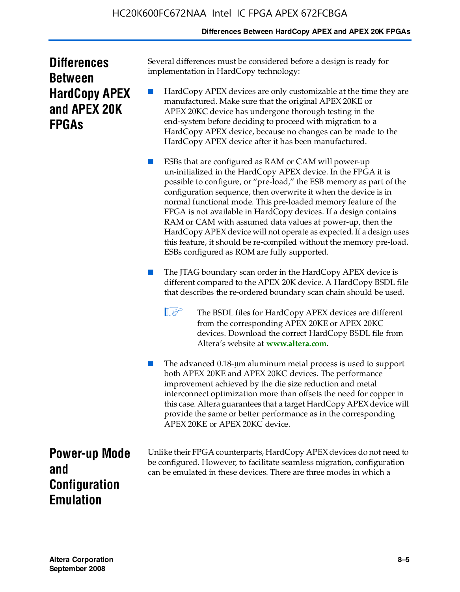#### **Differences Between HardCopy APEX and APEX 20K FPGAs**

| <b>Differences</b>   |
|----------------------|
| <b>Between</b>       |
| <b>HardCopy APEX</b> |
| and APEX 20K         |
| <b>FPGAS</b>         |

Several differences must be considered before a design is ready for implementation in HardCopy technology:

HardCopy APEX devices are only customizable at the time they are manufactured. Make sure that the original APEX 20KE or APEX 20KC device has undergone thorough testing in the end-system before deciding to proceed with migration to a HardCopy APEX device, because no changes can be made to the HardCopy APEX device after it has been manufactured.

ESBs that are configured as RAM or CAM will power-up un-initialized in the HardCopy APEX device. In the FPGA it is possible to configure, or "pre-load," the ESB memory as part of the configuration sequence, then overwrite it when the device is in normal functional mode. This pre-loaded memory feature of the FPGA is not available in HardCopy devices. If a design contains RAM or CAM with assumed data values at power-up, then the HardCopy APEX device will not operate as expected. If a design uses this feature, it should be re-compiled without the memory pre-load. ESBs configured as ROM are fully supported.

- The JTAG boundary scan order in the HardCopy APEX device is different compared to the APEX 20K device. A HardCopy BSDL file that describes the re-ordered boundary scan chain should be used.
	- **1 The BSDL files for HardCopy APEX devices are different** from the corresponding APEX 20KE or APEX 20KC devices. Download the correct HardCopy BSDL file from Altera's website at **[www.altera.com](http://www.altera.com)**.

The advanced 0.18-μm aluminum metal process is used to support both APEX 20KE and APEX 20KC devices. The performance improvement achieved by the die size reduction and metal interconnect optimization more than offsets the need for copper in this case. Altera guarantees that a target HardCopy APEX device will provide the same or better performance as in the corresponding APEX 20KE or APEX 20KC device.

**Power-up Mode and Configuration Emulation**

Unlike their FPGA counterparts, HardCopy APEX devices do not need to be configured. However, to facilitate seamless migration, configuration can be emulated in these devices. There are three modes in which a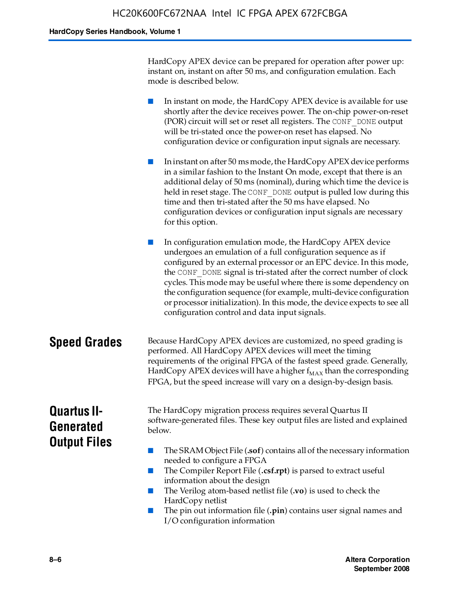HardCopy APEX device can be prepared for operation after power up: instant on, instant on after 50 ms, and configuration emulation. Each mode is described below.

■ In instant on mode, the HardCopy APEX device is available for use shortly after the device receives power. The on-chip power-on-reset (POR) circuit will set or reset all registers. The CONF\_DONE output will be tri-stated once the power-on reset has elapsed. No configuration device or configuration input signals are necessary.

■ In instant on after 50 ms mode, the HardCopy APEX device performs in a similar fashion to the Instant On mode, except that there is an additional delay of 50 ms (nominal), during which time the device is held in reset stage. The CONF DONE output is pulled low during this time and then tri-stated after the 50 ms have elapsed. No configuration devices or configuration input signals are necessary for this option.

In configuration emulation mode, the HardCopy APEX device undergoes an emulation of a full configuration sequence as if configured by an external processor or an EPC device. In this mode, the CONF\_DONE signal is tri-stated after the correct number of clock cycles. This mode may be useful where there is some dependency on the configuration sequence (for example, multi-device configuration or processor initialization). In this mode, the device expects to see all configuration control and data input signals.

#### **Speed Grades** Because HardCopy APEX devices are customized, no speed grading is performed. All HardCopy APEX devices will meet the timing requirements of the original FPGA of the fastest speed grade. Generally, HardCopy APEX devices will have a higher  $f_{MAX}$  than the corresponding FPGA, but the speed increase will vary on a design-by-design basis.

### **Quartus II-Generated Output Files**

The HardCopy migration process requires several Quartus II software-generated files. These key output files are listed and explained below.

- The SRAM Object File (**.sof**) contains all of the necessary information needed to configure a FPGA
- The Compiler Report File (.csf.rpt) is parsed to extract useful information about the design
- The Verilog atom-based netlist file (**.vo**) is used to check the HardCopy netlist
- The pin out information file (**.pin**) contains user signal names and I/O configuration information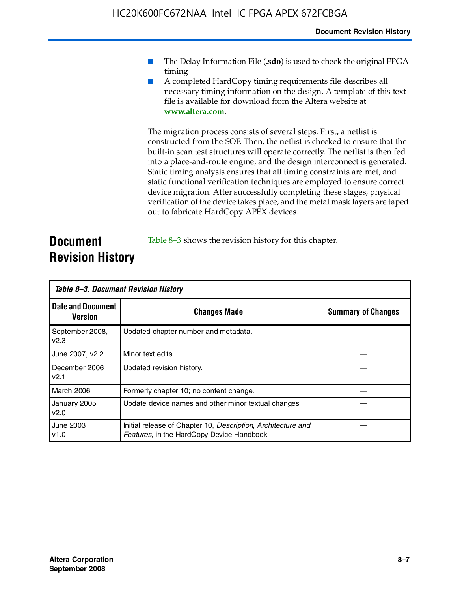- The Delay Information File (.sdo) is used to check the original FPGA timing
- A completed HardCopy timing requirements file describes all necessary timing information on the design. A template of this text file is available for download from the Altera website at **www.altera.com**.

The migration process consists of several steps. First, a netlist is constructed from the SOF. Then, the netlist is checked to ensure that the built-in scan test structures will operate correctly. The netlist is then fed into a place-and-route engine, and the design interconnect is generated. Static timing analysis ensures that all timing constraints are met, and static functional verification techniques are employed to ensure correct device migration. After successfully completing these stages, physical verification of the device takes place, and the metal mask layers are taped out to fabricate HardCopy APEX devices.

#### **Document Revision History** Table 8–3 shows the revision history for this chapter.

| Table 8–3. Document Revision History |                                                                                                           |                           |  |  |
|--------------------------------------|-----------------------------------------------------------------------------------------------------------|---------------------------|--|--|
| <b>Date and Document</b><br>Version  | <b>Changes Made</b>                                                                                       | <b>Summary of Changes</b> |  |  |
| September 2008,<br>V <sub>2.3</sub>  | Updated chapter number and metadata.                                                                      |                           |  |  |
| June 2007, v2.2                      | Minor text edits.                                                                                         |                           |  |  |
| December 2006<br>v2.1                | Updated revision history.                                                                                 |                           |  |  |
| March 2006                           | Formerly chapter 10; no content change.                                                                   |                           |  |  |
| January 2005<br>v2.0                 | Update device names and other minor textual changes                                                       |                           |  |  |
| <b>June 2003</b><br>v1.0             | Initial release of Chapter 10, Description, Architecture and<br>Features, in the HardCopy Device Handbook |                           |  |  |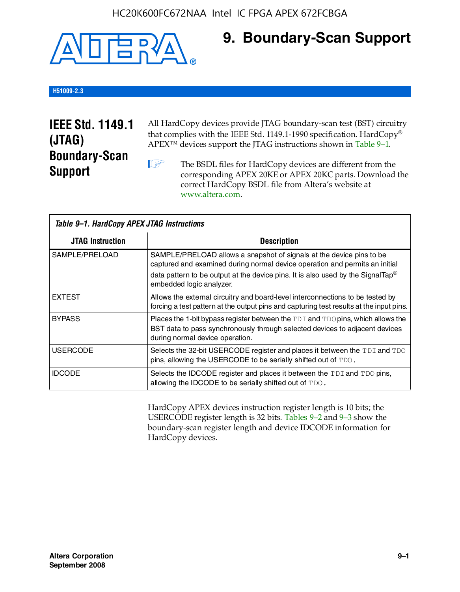#### HC20K600FC672NAA Intel IC FPGA APEX 672FCBGA



### **9. Boundary-Scan Support**

#### **H51009-2.3**

### **IEEE Std. 1149.1 (JTAG) Boundary-Scan Support**

All HardCopy devices provide JTAG boundary-scan test (BST) circuitry that complies with the IEEE Std. 1149.1-1990 specification. HardCopy® APEX™ devices support the JTAG instructions shown in Table 9–1.

**1 The BSDL files for HardCopy devices are different from the** corresponding APEX 20KE or APEX 20KC parts. Download the [correct HardCopy BSDL file from Altera's website at](http://www.altera.com)  www.altera.com.

| Table 9-1. HardCopy APEX JTAG Instructions |                                                                                                                                                                                                                                                                                |  |  |  |
|--------------------------------------------|--------------------------------------------------------------------------------------------------------------------------------------------------------------------------------------------------------------------------------------------------------------------------------|--|--|--|
| <b>JTAG Instruction</b>                    | <b>Description</b>                                                                                                                                                                                                                                                             |  |  |  |
| SAMPLE/PRELOAD                             | SAMPLE/PRELOAD allows a snapshot of signals at the device pins to be<br>captured and examined during normal device operation and permits an initial<br>data pattern to be output at the device pins. It is also used by the SignalTap <sup>®</sup><br>embedded logic analyzer. |  |  |  |
| <b>EXTEST</b>                              | Allows the external circuitry and board-level interconnections to be tested by<br>forcing a test pattern at the output pins and capturing test results at the input pins.                                                                                                      |  |  |  |
| <b>BYPASS</b>                              | Places the 1-bit bypass register between the $TDI$ and $TDO$ pins, which allows the<br>BST data to pass synchronously through selected devices to adjacent devices<br>during normal device operation.                                                                          |  |  |  |
| <b>USERCODE</b>                            | Selects the 32-bit USERCODE register and places it between the TDI and TDO<br>pins, allowing the USERCODE to be serially shifted out of TDO.                                                                                                                                   |  |  |  |
| <b>IDCODE</b>                              | Selects the IDCODE register and places it between the TDI and TDO pins,<br>allowing the IDCODE to be serially shifted out of TDO.                                                                                                                                              |  |  |  |

HardCopy APEX devices instruction register length is 10 bits; the USERCODE register length is 32 bits. Tables 9–2 and 9–3 show the boundary-scan register length and device IDCODE information for HardCopy devices.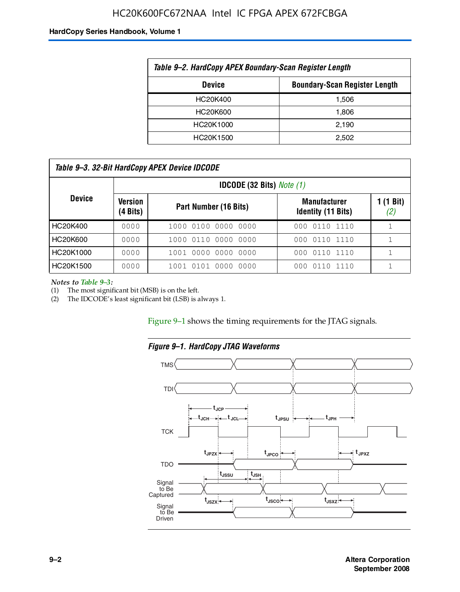#### HC20K600FC672NAA Intel IC FPGA APEX 672FCBGA

#### **HardCopy Series Handbook, Volume 1**

| Table 9–2. HardCopy APEX Boundary-Scan Register Length |       |  |  |  |
|--------------------------------------------------------|-------|--|--|--|
| <b>Boundary-Scan Register Length</b><br><b>Device</b>  |       |  |  |  |
| HC20K400                                               | 1,506 |  |  |  |
| HC20K600                                               | 1.806 |  |  |  |
| HC20K1000                                              | 2,190 |  |  |  |
| HC20K1500                                              | 2.502 |  |  |  |

| Table 9–3. 32-Bit HardCopy APEX Device IDCODE |                     |                          |                                                  |                  |  |
|-----------------------------------------------|---------------------|--------------------------|--------------------------------------------------|------------------|--|
| <b>IDCODE (32 Bits)</b> Note $(1)$            |                     |                          |                                                  |                  |  |
| <b>Device</b>                                 | Version<br>(4 Bits) | Part Number (16 Bits)    | <b>Manufacturer</b><br><b>Identity (11 Bits)</b> | 1 (1 Bit)<br>(2) |  |
| HC20K400                                      | 0000                | 1000 0100 0000 0000      | 000 0110 1110                                    |                  |  |
| HC20K600                                      | 0000                | 1000 0110 0000 0000      | 000 0110 1110                                    |                  |  |
| HC20K1000                                     | 0000                | 1001 0000 0000 0000      | 000 0110 1110                                    |                  |  |
| HC20K1500                                     | 0000                | 1001 0101 0000<br>- 0000 | 011<br>101110<br>000.                            |                  |  |

*Notes to Table 9–3:*

(1) The most significant bit (MSB) is on the left.

(2) The IDCODE's least significant bit (LSB) is always 1.

Figure 9–1 shows the timing requirements for the JTAG signals.



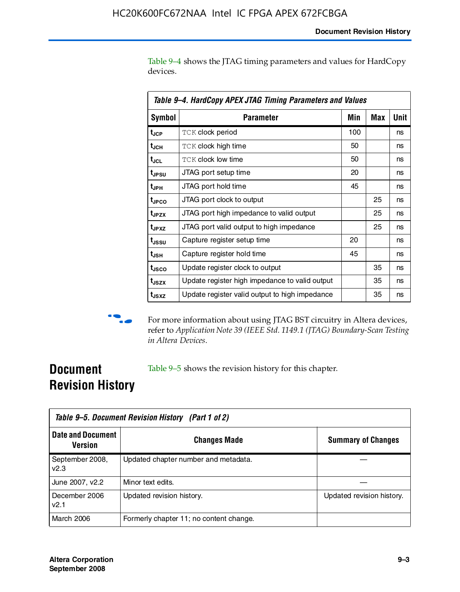Table 9–4 shows the JTAG timing parameters and values for HardCopy devices.

| Table 9–4. HardCopy APEX JTAG Timing Parameters and Values |                                                |     |     |      |  |
|------------------------------------------------------------|------------------------------------------------|-----|-----|------|--|
| <b>Symbol</b>                                              | Parameter                                      | Min | Max | Unit |  |
| t <sub>JCP</sub>                                           | <b>TCK clock period</b>                        | 100 |     | ns   |  |
| t <sub>JCH</sub>                                           | <b>TCK clock high time</b>                     | 50  |     | ns   |  |
| t <sub>JCL</sub>                                           | <b>TCK clock low time</b>                      | 50  |     | ns   |  |
| t <sub>JPSU</sub>                                          | JTAG port setup time                           | 20  |     | ns   |  |
| t <sub>JPH</sub>                                           | JTAG port hold time                            | 45  |     | ns   |  |
| t <sub>JPCO</sub>                                          | JTAG port clock to output                      |     | 25  | ns   |  |
| t <sub>JPZX</sub>                                          | JTAG port high impedance to valid output       |     | 25  | ns   |  |
| t <sub>JPXZ</sub>                                          | JTAG port valid output to high impedance       |     | 25  | ns   |  |
| t <sub>ussu</sub>                                          | Capture register setup time                    | 20  |     | ns   |  |
| t <sub>JSH</sub>                                           | Capture register hold time                     | 45  |     | ns   |  |
| t <sub>JSCO</sub>                                          | Update register clock to output                |     | 35  | ns   |  |
| t <sub>JSZX</sub>                                          | Update register high impedance to valid output |     | 35  | ns   |  |
| t <sub>JSXZ</sub>                                          | Update register valid output to high impedance |     | 35  | ns   |  |



**f** For more information about using JTAG BST circuitry in Altera devices, refer to *Application Note 39 (IEEE Std. 1149.1 (JTAG) Boundary-Scan Testing in Altera Devices*.

### **Document Revision History**

Table 9–5 shows the revision history for this chapter.

| Table 9–5. Document Revision History (Part 1 of 2) |                                         |                           |  |  |
|----------------------------------------------------|-----------------------------------------|---------------------------|--|--|
| <b>Date and Document</b><br>Version                | <b>Changes Made</b>                     | <b>Summary of Changes</b> |  |  |
| September 2008,<br>v2.3                            | Updated chapter number and metadata.    |                           |  |  |
| June 2007, v2.2                                    | Minor text edits.                       |                           |  |  |
| December 2006<br>v2.1                              | Updated revision history.               | Updated revision history. |  |  |
| March 2006                                         | Formerly chapter 11; no content change. |                           |  |  |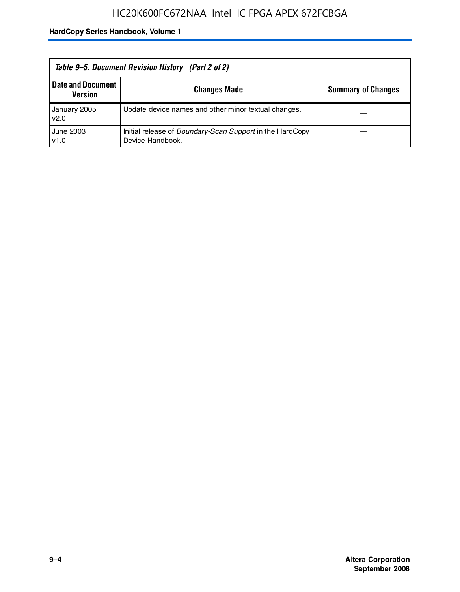| Table 9–5. Document Revision History (Part 2 of 2) |                                                                                     |                           |  |  |
|----------------------------------------------------|-------------------------------------------------------------------------------------|---------------------------|--|--|
| <b>Date and Document</b><br><b>Version</b>         | <b>Changes Made</b>                                                                 | <b>Summary of Changes</b> |  |  |
| January 2005<br>v2.0                               | Update device names and other minor textual changes.                                |                           |  |  |
| June 2003<br>v1.0                                  | Initial release of <i>Boundary-Scan Support</i> in the HardCopy<br>Device Handbook. |                           |  |  |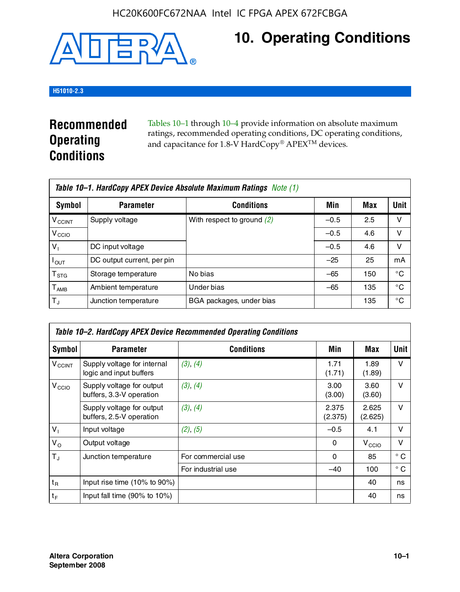#### HC20K600FC672NAA Intel IC FPGA APEX 672FCBGA



## **10. Operating Conditions**

#### **H51010-2.3**

### **Recommended Operating Conditions**

Tables 10–1 through 10–4 provide information on absolute maximum ratings, recommended operating conditions, DC operating conditions, and capacitance for 1.8-V HardCopy® APEX<sup>TM</sup> devices.

| Table 10–1. HardCopy APEX Device Absolute Maximum Ratings Note (1) |                            |                              |        |     |             |
|--------------------------------------------------------------------|----------------------------|------------------------------|--------|-----|-------------|
| Symbol                                                             | <b>Parameter</b>           | <b>Conditions</b>            | Min    | Max | <b>Unit</b> |
| <b>V<sub>CCINT</sub></b>                                           | Supply voltage             | With respect to ground $(2)$ | $-0.5$ | 2.5 | ν           |
| V <sub>CCIO</sub>                                                  |                            |                              | $-0.5$ | 4.6 | v           |
| $V_1$                                                              | DC input voltage           |                              | $-0.5$ | 4.6 | ν           |
| $I_{\mathsf{OUT}}$                                                 | DC output current, per pin |                              | $-25$  | 25  | mA          |
| $\mathsf{T}_{\text{STG}}$                                          | Storage temperature        | No bias                      | $-65$  | 150 | °C          |
| $T_{\sf AMB}$                                                      | Ambient temperature        | Under bias                   | $-65$  | 135 | °C          |
| $\mathsf{T}_A$                                                     | Junction temperature       | BGA packages, under bias     |        | 135 | °C          |

| Table 10–2. HardCopy APEX Device Recommended Operating Conditions |                                                        |                    |                  |                   |              |  |
|-------------------------------------------------------------------|--------------------------------------------------------|--------------------|------------------|-------------------|--------------|--|
| Symbol                                                            | <b>Parameter</b>                                       | <b>Conditions</b>  | Min              | Max               | Unit         |  |
| $V_{\text{CCINT}}$                                                | Supply voltage for internal<br>logic and input buffers | (3), (4)           | 1.71<br>(1.71)   | 1.89<br>(1.89)    | $\vee$       |  |
| V <sub>CCIO</sub>                                                 | Supply voltage for output<br>buffers, 3.3-V operation  | (3), (4)           | 3.00<br>(3.00)   | 3.60<br>(3.60)    | $\vee$       |  |
|                                                                   | Supply voltage for output<br>buffers, 2.5-V operation  | (3), (4)           | 2.375<br>(2.375) | 2.625<br>(2.625)  | $\vee$       |  |
| $V_1$                                                             | Input voltage                                          | (2), (5)           | $-0.5$           | 4.1               | $\vee$       |  |
| $V_{\rm O}$                                                       | Output voltage                                         |                    | 0                | V <sub>CCIO</sub> | $\vee$       |  |
| $T_{\rm J}$                                                       | Junction temperature                                   | For commercial use | 0                | 85                | $^{\circ}$ C |  |
|                                                                   |                                                        | For industrial use | $-40$            | 100               | $^{\circ}$ C |  |
| $t_{R}$                                                           | Input rise time (10% to 90%)                           |                    |                  | 40                | ns           |  |
| $t_F$                                                             | Input fall time $(90\% \text{ to } 10\%)$              |                    |                  | 40                | ns           |  |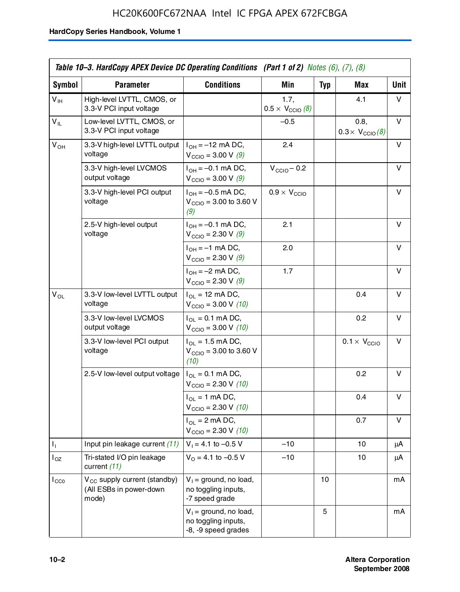|                            | Table 10–3. HardCopy APEX Device DC Operating Conditions (Part 1 of 2) Notes $(6)$ , $(7)$ , $(8)$ |                                                                        |                                          |            |                                         |             |
|----------------------------|----------------------------------------------------------------------------------------------------|------------------------------------------------------------------------|------------------------------------------|------------|-----------------------------------------|-------------|
| Symbol                     | <b>Parameter</b>                                                                                   | <b>Conditions</b>                                                      | <b>Min</b>                               | <b>Typ</b> | Max                                     | <b>Unit</b> |
| $V_{\text{IH}}$            | High-level LVTTL, CMOS, or<br>3.3-V PCI input voltage                                              |                                                                        | 1.7,<br>$0.5 \times V_{\text{CCIO}}$ (8) |            | 4.1                                     | v           |
| $\mathsf{V}_{\mathsf{IL}}$ | Low-level LVTTL, CMOS, or<br>3.3-V PCI input voltage                                               |                                                                        | $-0.5$                                   |            | 0.8,<br>$0.3 \times V_{\text{CCIO}}(8)$ | v           |
| $V_{OH}$                   | 3.3-V high-level LVTTL output<br>voltage                                                           | $I_{OH} = -12$ mA DC,<br>$V_{\text{CCIO}} = 3.00 \text{ V} (9)$        | 2.4                                      |            |                                         | v           |
|                            | 3.3-V high-level LVCMOS<br>output voltage                                                          | $I_{OH} = -0.1$ mA DC,<br>$V_{\text{CCIO}} = 3.00 \text{ V} (9)$       | $V_{\text{CCIO}} - 0.2$                  |            |                                         | v           |
|                            | 3.3-V high-level PCI output<br>voltage                                                             | $I_{OH} = -0.5$ mA DC,<br>$V_{\text{CCIO}} = 3.00$ to 3.60 V<br>(9)    | $0.9 \times V_{\text{CCIO}}$             |            |                                         | v           |
|                            | 2.5-V high-level output<br>voltage                                                                 | $I_{OH} = -0.1$ mA DC,<br>$V_{\text{CCIO}} = 2.30 \text{ V} (9)$       | 2.1                                      |            |                                         | v           |
|                            |                                                                                                    | $I_{OH} = -1$ mA DC,<br>$V_{\text{CCIO}} = 2.30 \text{ V} (9)$         | 2.0                                      |            |                                         | v           |
|                            |                                                                                                    | $I_{OH} = -2$ mA DC,<br>$V_{\text{CCIO}} = 2.30 \text{ V} (9)$         | 1.7                                      |            |                                         | v           |
| $\mathsf{V}_{\mathsf{OL}}$ | 3.3-V low-level LVTTL output<br>voltage                                                            | $I_{OL}$ = 12 mA DC,<br>$V_{\text{CCIO}} = 3.00 \text{ V} (10)$        |                                          |            | 0.4                                     | v           |
|                            | 3.3-V low-level LVCMOS<br>output voltage                                                           | $I_{OL} = 0.1$ mA DC,<br>$V_{\text{CCIO}} = 3.00 V (10)$               |                                          |            | 0.2                                     | v           |
|                            | 3.3-V low-level PCI output<br>voltage                                                              | $I_{OL}$ = 1.5 mA DC,<br>$V_{\text{CCIO}} = 3.00$ to 3.60 V<br>(10)    |                                          |            | $0.1 \times V_{\text{CCIO}}$            | v           |
|                            | 2.5-V low-level output voltage                                                                     | $I_{OL} = 0.1$ mA DC,<br>$V_{\text{CCIO}} = 2.30 \text{ V} (10)$       |                                          |            | 0.2                                     | v           |
|                            |                                                                                                    | $I_{OL}$ = 1 mA DC,<br>$V_{\text{CCIO}} = 2.30 V (10)$                 |                                          |            | 0.4                                     | v           |
|                            |                                                                                                    | $I_{OL}$ = 2 mA DC,<br>$V_{\text{CCIO}} = 2.30 \text{ V} (10)$         |                                          |            | 0.7                                     | v           |
| Τ,                         | Input pin leakage current (11)                                                                     | $V_1 = 4.1$ to $-0.5$ V                                                | $-10$                                    |            | 10                                      | μA          |
| $I_{OZ}$                   | Tri-stated I/O pin leakage<br>current (11)                                                         | $V_0 = 4.1$ to -0.5 V                                                  | $-10$                                    |            | 10                                      | μA          |
| $I_{CC0}$                  | $V_{\text{CC}}$ supply current (standby)<br>(All ESBs in power-down<br>mode)                       | $V_1$ = ground, no load,<br>no toggling inputs,<br>-7 speed grade      |                                          | 10         |                                         | mA          |
|                            |                                                                                                    | $V_1$ = ground, no load,<br>no toggling inputs,<br>-8, -9 speed grades |                                          | 5          |                                         | mA          |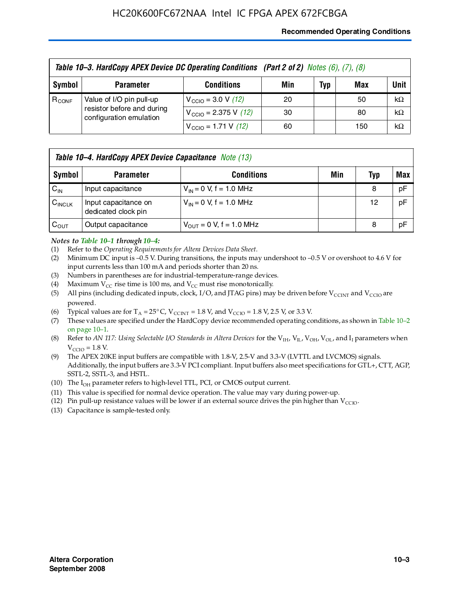#### **Recommended Operating Conditions**

|            | Table 10-3. HardCopy APEX Device DC Operating Conditions (Part 2 of 2) Notes (6), (7), (8) |                                          |     |     |     |           |  |  |
|------------|--------------------------------------------------------------------------------------------|------------------------------------------|-----|-----|-----|-----------|--|--|
| Symbol     | <b>Parameter</b>                                                                           | <b>Conditions</b>                        | Min | Typ | Max | Unit      |  |  |
| $R_{CONF}$ | Value of I/O pin pull-up                                                                   | $V_{\text{CCIO}} = 3.0 \text{ V} (12)$   | 20  |     | 50  | $k\Omega$ |  |  |
|            | resistor before and during<br>configuration emulation                                      | $V_{\text{CCIO}} = 2.375 \text{ V}$ (12) | 30  |     | 80  | $k\Omega$ |  |  |
|            |                                                                                            | $V_{\text{CCIO}} = 1.71 \text{ V}$ (12)  | 60  |     | 150 | $k\Omega$ |  |  |

|                    | <b>Table 10–4. HardCopy APEX Device Capacitance</b> Note (13) |                              |     |     |     |  |
|--------------------|---------------------------------------------------------------|------------------------------|-----|-----|-----|--|
| Symbol             | <b>Parameter</b>                                              | <b>Conditions</b>            | Min | Typ | Max |  |
| $C_{\text{IN}}$    | Input capacitance                                             | $V_{IN} = 0$ V, f = 1.0 MHz  |     | 8   | pF  |  |
| $C_{\text{INCLK}}$ | Input capacitance on<br>dedicated clock pin                   | $V_{IN} = 0$ V, f = 1.0 MHz  |     | 12  | pF  |  |
| $C_{\text{OUT}}$   | Output capacitance                                            | $V_{OUT} = 0$ V, f = 1.0 MHz |     | 8   | pF  |  |

#### *Notes to Table 10–1 through 10–4:*

- (1) Refer to the *Operating Requirements for Altera Devices Data Sheet*.
- (2) Minimum DC input is –0.5 V. During transitions, the inputs may undershoot to –0.5 V or overshoot to 4.6 V for input currents less than 100 mA and periods shorter than 20 ns.
- (3) Numbers in parentheses are for industrial-temperature-range devices.
- (4) Maximum  $V_{CC}$  rise time is 100 ms, and  $V_{CC}$  must rise monotonically.
- (5) All pins (including dedicated inputs, clock, I/O, and JTAG pins) may be driven before  $V_{\text{CCINT}}$  and  $V_{\text{CCIO}}$  are powered.
- (6) Typical values are for  $T_A = 25^{\circ}$  C,  $V_{CCTNT} = 1.8$  V, and  $V_{CCTO} = 1.8$  V, 2.5 V, or 3.3 V.
- (7) These values are specified under the HardCopy device recommended operating conditions, as shown in Table 10–2 on page 10–1.
- (8) Refer to *AN 117: Using Selectable I/O Standards in Altera Devices* for the V<sub>IH</sub>, V<sub>IL</sub>, V<sub>OH</sub>, V<sub>OL</sub>, and I<sub>I</sub> parameters when  $V_{\text{CCIO}} = 1.8 \text{ V}$ .
- (9) The APEX 20KE input buffers are compatible with 1.8-V, 2.5-V and 3.3-V (LVTTL and LVCMOS) signals. Additionally, the input buffers are 3.3-V PCI compliant. Input buffers also meet specifications for GTL+, CTT, AGP, SSTL-2, SSTL-3, and HSTL.
- (10) The  $I_{OH}$  parameter refers to high-level TTL, PCI, or CMOS output current.
- (11) This value is specified for normal device operation. The value may vary during power-up.
- (12) Pin pull-up resistance values will be lower if an external source drives the pin higher than  $V_{CCIO}$ .
- (13) Capacitance is sample-tested only.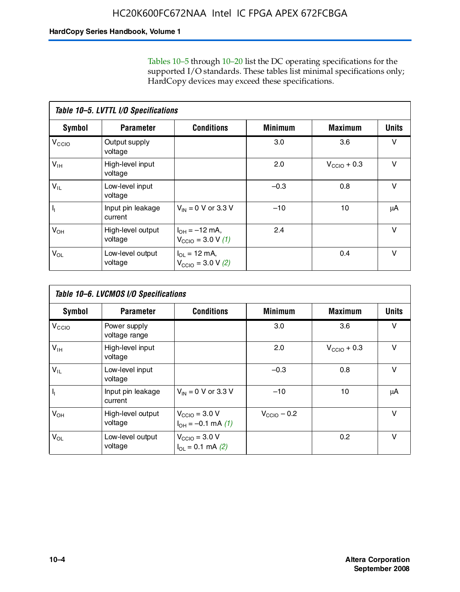Tables 10–5 through 10–20 list the DC operating specifications for the supported I/O standards. These tables list minimal specifications only; HardCopy devices may exceed these specifications.

|                           | Table 10-5. LVTTL I/O Specifications |                                                                 |                |                         |              |  |  |  |  |
|---------------------------|--------------------------------------|-----------------------------------------------------------------|----------------|-------------------------|--------------|--|--|--|--|
| Symbol                    | <b>Parameter</b>                     | <b>Conditions</b>                                               | <b>Minimum</b> | <b>Maximum</b>          | <b>Units</b> |  |  |  |  |
| V <sub>CCIO</sub>         | Output supply<br>voltage             |                                                                 | 3.0            | 3.6                     | $\vee$       |  |  |  |  |
| $V_{\text{IH}}$           | High-level input<br>voltage          |                                                                 | 2.0            | $V_{\text{CCIO}} + 0.3$ | $\vee$       |  |  |  |  |
| $V_{IL}$                  | Low-level input<br>voltage           |                                                                 | $-0.3$         | 0.8                     | v            |  |  |  |  |
| $\mathsf{I}_{\mathsf{I}}$ | Input pin leakage<br>current         | $V_{IN} = 0$ V or 3.3 V                                         | $-10$          | 10                      | μA           |  |  |  |  |
| $V_{OH}$                  | High-level output<br>voltage         | $I_{OH} = -12$ mA,<br>$V_{\text{CCIO}} = 3.0 V(1)$              | 2.4            |                         | v            |  |  |  |  |
| $V_{OL}$                  | Low-level output<br>voltage          | $I_{\Omega I} = 12 \text{ mA}$<br>$V_{\text{CCIO}} = 3.0 V (2)$ |                | 0.4                     | $\vee$       |  |  |  |  |

|                   | Table 10-6. LVCMOS I/O Specifications |                                                           |                         |                         |              |  |  |  |  |
|-------------------|---------------------------------------|-----------------------------------------------------------|-------------------------|-------------------------|--------------|--|--|--|--|
| <b>Symbol</b>     | <b>Parameter</b>                      | <b>Conditions</b>                                         | <b>Minimum</b>          | <b>Maximum</b>          | <b>Units</b> |  |  |  |  |
| V <sub>CCIO</sub> | Power supply<br>voltage range         |                                                           | 3.0                     | 3.6                     | v            |  |  |  |  |
| $V_{\text{IH}}$   | High-level input<br>voltage           |                                                           | 2.0                     | $V_{\text{CCIO}} + 0.3$ | $\vee$       |  |  |  |  |
| $V_{IL}$          | Low-level input<br>voltage            |                                                           | $-0.3$                  | 0.8                     | $\vee$       |  |  |  |  |
| H,                | Input pin leakage<br>current          | $V_{IN} = 0$ V or 3.3 V                                   | $-10$                   | 10                      | μA           |  |  |  |  |
| $V_{OH}$          | High-level output<br>voltage          | $V_{\text{CCIO}} = 3.0 V$<br>$I_{OH} = -0.1$ mA $(1)$     | $V_{\text{CCIO}} - 0.2$ |                         | $\vee$       |  |  |  |  |
| $V_{OL}$          | Low-level output<br>voltage           | $V_{\text{CCIO}} = 3.0 V$<br>$I_{\text{OL}} = 0.1$ mA (2) |                         | 0.2                     | $\vee$       |  |  |  |  |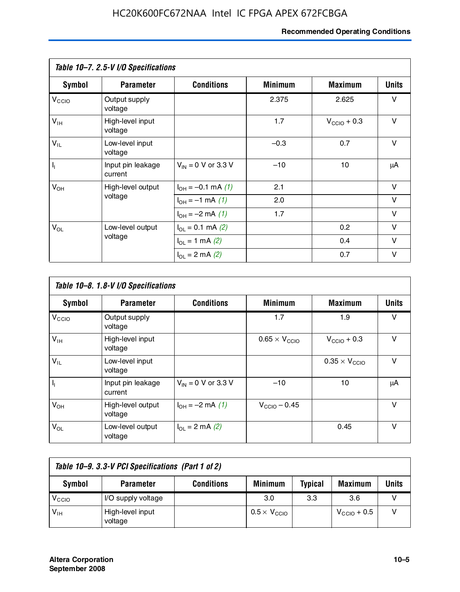#### **Recommended Operating Conditions**

|                   | Table 10-7. 2.5-V I/O Specifications |                                      |                |                         |        |
|-------------------|--------------------------------------|--------------------------------------|----------------|-------------------------|--------|
| <b>Symbol</b>     | <b>Parameter</b>                     | <b>Conditions</b>                    | <b>Minimum</b> | <b>Maximum</b>          | Units  |
| V <sub>CCIO</sub> | Output supply<br>voltage             |                                      | 2.375          | 2.625                   | v      |
| $V_{\text{IH}}$   | High-level input<br>voltage          |                                      | 1.7            | $V_{\text{CCIO}} + 0.3$ | $\vee$ |
| $V_{IL}$          | Low-level input<br>voltage           |                                      | $-0.3$         | 0.7                     | $\vee$ |
| $\mathbf{l}_1$    | Input pin leakage<br>current         | $V_{IN} = 0$ V or 3.3 V              | $-10$          | 10                      | μA     |
| $V_{OH}$          | High-level output                    | $I_{OH} = -0.1$ mA $(1)$             | 2.1            |                         | V      |
|                   | voltage                              | $I_{OH} = -1$ mA (1)                 | 2.0            |                         | V      |
|                   |                                      | $I_{OH} = -2$ mA (1)                 | 1.7            |                         | V      |
| $V_{OL}$          | Low-level output                     | $I_{\text{OL}} = 0.1 \text{ mA}$ (2) |                | 0.2                     | V      |
|                   | voltage                              | $I_{OL} = 1$ mA (2)                  |                | 0.4                     | V      |
|                   |                                      | $I_{\Omega}$ = 2 mA (2)              |                | 0.7                     | V      |

|                   | Table 10-8. 1.8-V I/O Specifications |                         |                               |                               |              |  |  |  |  |
|-------------------|--------------------------------------|-------------------------|-------------------------------|-------------------------------|--------------|--|--|--|--|
| Symbol            | <b>Parameter</b>                     | <b>Conditions</b>       | <b>Minimum</b>                | <b>Maximum</b>                | <b>Units</b> |  |  |  |  |
| $V_{\text{CCIO}}$ | Output supply<br>voltage             |                         | 1.7                           | 1.9                           | $\vee$       |  |  |  |  |
| $V_{\text{IH}}$   | High-level input<br>voltage          |                         | $0.65 \times V_{\text{CCIO}}$ | $V_{\text{CCIO}} + 0.3$       | v            |  |  |  |  |
| $V_{IL}$          | Low-level input<br>voltage           |                         |                               | $0.35 \times V_{\text{CCIO}}$ | $\vee$       |  |  |  |  |
| $\mathbf{l}_{1}$  | Input pin leakage<br>current         | $V_{IN} = 0$ V or 3.3 V | $-10$                         | 10                            | μA           |  |  |  |  |
| $V_{OH}$          | High-level output<br>voltage         | $I_{OH} = -2$ mA (1)    | $V_{\text{CCIO}} - 0.45$      |                               | v            |  |  |  |  |
| $V_{OL}$          | Low-level output<br>voltage          | $I_{\Omega}$ = 2 mA (2) |                               | 0.45                          | $\vee$       |  |  |  |  |

| Table 10-9. 3.3-V PCI Specifications (Part 1 of 2) |                             |                   |                              |                |                         |       |
|----------------------------------------------------|-----------------------------|-------------------|------------------------------|----------------|-------------------------|-------|
| Symbol                                             | <b>Parameter</b>            | <b>Conditions</b> | <b>Minimum</b>               | <b>Typical</b> | <b>Maximum</b>          | Units |
| V <sub>CIO</sub>                                   | I/O supply voltage          |                   | 3.0                          | 3.3            | 3.6                     |       |
| $V_{\text{IH}}$                                    | High-level input<br>voltage |                   | $0.5 \times V_{\text{CCIO}}$ |                | $V_{\text{CCIO}} + 0.5$ |       |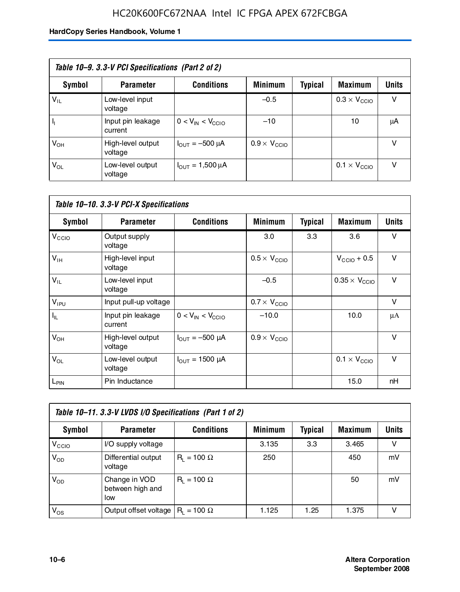### HC20K600FC672NAA Intel IC FPGA APEX 672FCBGA

| Table 10–9. 3.3-V PCI Specifications (Part 2 of 2) |                              |                                        |                              |         |                              |              |  |
|----------------------------------------------------|------------------------------|----------------------------------------|------------------------------|---------|------------------------------|--------------|--|
| Symbol                                             | <b>Parameter</b>             | <b>Conditions</b>                      | <b>Minimum</b>               | Typical | <b>Maximum</b>               | <b>Units</b> |  |
| $V_{IL}$                                           | Low-level input<br>voltage   |                                        | $-0.5$                       |         | $0.3 \times V_{\text{CCIO}}$ | v            |  |
|                                                    | Input pin leakage<br>current | $0 < V_{IN} < V_{CCIO}$                | $-10$                        |         | 10                           | μA           |  |
| $V_{OH}$                                           | High-level output<br>voltage | $I_{\text{OUT}} = -500 \mu A$          | $0.9 \times V_{\text{CCIO}}$ |         |                              | v            |  |
| $V_{OL}$                                           | Low-level output<br>voltage  | $I_{\text{OUT}} = 1,500 \,\mu\text{A}$ |                              |         | $0.1 \times V_{\text{CCIO}}$ | v            |  |

| Table 10-10. 3.3-V PCI-X Specifications |                              |                               |                              |                |                               |              |
|-----------------------------------------|------------------------------|-------------------------------|------------------------------|----------------|-------------------------------|--------------|
| Symbol                                  | <b>Parameter</b>             | <b>Conditions</b>             | <b>Minimum</b>               | <b>Typical</b> | <b>Maximum</b>                | <b>Units</b> |
| V <sub>CCIO</sub>                       | Output supply<br>voltage     |                               | 3.0                          | 3.3            | 3.6                           | v            |
| $V_{\text{IH}}$                         | High-level input<br>voltage  |                               | $0.5 \times V_{\text{CCIO}}$ |                | $V_{\text{CCIO}} + 0.5$       | $\vee$       |
| $V_{IL}$                                | Low-level input<br>voltage   |                               | $-0.5$                       |                | $0.35 \times V_{\text{CCIO}}$ | $\vee$       |
| $V_{IPU}$                               | Input pull-up voltage        |                               | $0.7 \times V_{\text{CCIO}}$ |                |                               | $\vee$       |
| I <sub>IL</sub>                         | Input pin leakage<br>current | $0 < V_{IN} < V_{CCIO}$       | $-10.0$                      |                | 10.0                          | μA           |
| $V_{OH}$                                | High-level output<br>voltage | $I_{\text{OUT}} = -500 \mu A$ | $0.9 \times V_{\text{CCIO}}$ |                |                               | $\vee$       |
| $V_{OL}$                                | Low-level output<br>voltage  | $I_{\text{OUT}} = 1500 \mu A$ |                              |                | $0.1 \times V_{\text{CCIO}}$  | $\vee$       |
| $L_{\text{PIN}}$                        | Pin Inductance               |                               |                              |                | 15.0                          | nH           |

| Table 10-11. 3.3-V LVDS I/O Specifications (Part 1 of 2) |                                           |                    |                |                |                |              |  |
|----------------------------------------------------------|-------------------------------------------|--------------------|----------------|----------------|----------------|--------------|--|
| Symbol                                                   | <b>Parameter</b>                          | <b>Conditions</b>  | <b>Minimum</b> | <b>Typical</b> | <b>Maximum</b> | <b>Units</b> |  |
| V <sub>CIO</sub>                                         | I/O supply voltage                        |                    | 3.135          | 3.3            | 3.465          | v            |  |
| $V_{OD}$                                                 | Differential output<br>voltage            | $R_1 = 100 \Omega$ | 250            |                | 450            | mV           |  |
| $V_{OD}$                                                 | Change in VOD<br>between high and<br>low  | $R_1 = 100 \Omega$ |                |                | 50             | mV           |  |
| $V_{OS}$                                                 | Output offset voltage $ R_1 = 100 \Omega$ |                    | 1.125          | 1.25           | 1.375          |              |  |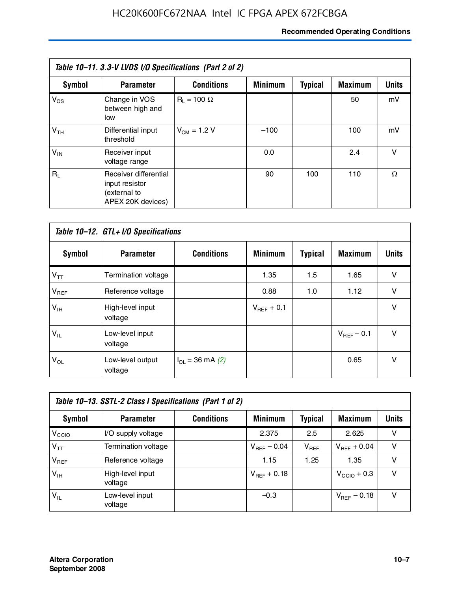#### **Recommended Operating Conditions**

| Table 10–11. 3.3-V LVDS I/O Specifications (Part 2 of 2) |                                                                              |                    |                |                |                |              |  |
|----------------------------------------------------------|------------------------------------------------------------------------------|--------------------|----------------|----------------|----------------|--------------|--|
| Symbol                                                   | <b>Parameter</b>                                                             | <b>Conditions</b>  | <b>Minimum</b> | <b>Typical</b> | <b>Maximum</b> | <b>Units</b> |  |
| $V_{OS}$                                                 | Change in VOS<br>between high and<br>low                                     | $R_1 = 100 \Omega$ |                |                | 50             | mV           |  |
| V <sub>TH</sub>                                          | Differential input<br>threshold                                              | $V_{CM} = 1.2 V$   | $-100$         |                | 100            | mV           |  |
| $V_{IN}$                                                 | Receiver input<br>voltage range                                              |                    | 0.0            |                | 2.4            | $\vee$       |  |
| $R_{\perp}$                                              | Receiver differential<br>input resistor<br>(external to<br>APEX 20K devices) |                    | 90             | 100            | 110            | Ω            |  |

| Table 10-12. GTL+ I/O Specifications |                             |                          |                 |                |                 |              |  |
|--------------------------------------|-----------------------------|--------------------------|-----------------|----------------|-----------------|--------------|--|
| <b>Symbol</b>                        | <b>Parameter</b>            | <b>Conditions</b>        | <b>Minimum</b>  | <b>Typical</b> | <b>Maximum</b>  | <b>Units</b> |  |
| $V_{TT}$                             | Termination voltage         |                          | 1.35            | 1.5            | 1.65            | v            |  |
| $V_{REF}$                            | Reference voltage           |                          | 0.88            | 1.0            | 1.12            | $\vee$       |  |
| $V_{IH}$                             | High-level input<br>voltage |                          | $V_{REF}$ + 0.1 |                |                 | $\vee$       |  |
| $V_{IL}$                             | Low-level input<br>voltage  |                          |                 |                | $V_{BFF}$ – 0.1 | $\vee$       |  |
| $V_{OL}$                             | Low-level output<br>voltage | $I_{\Omega}$ = 36 mA (2) |                 |                | 0.65            | $\vee$       |  |

| Table 10–13. SSTL-2 Class I Specifications (Part 1 of 2) |                             |                   |                  |           |                         |              |  |
|----------------------------------------------------------|-----------------------------|-------------------|------------------|-----------|-------------------------|--------------|--|
| Symbol                                                   | <b>Parameter</b>            | <b>Conditions</b> | <b>Minimum</b>   | Typical   | <b>Maximum</b>          | <b>Units</b> |  |
| V <sub>CCIO</sub>                                        | I/O supply voltage          |                   | 2.375            | 2.5       | 2.625                   | v            |  |
| $V_{TT}$                                                 | Termination voltage         |                   | $V_{REF}$ – 0.04 | $V_{REF}$ | $V_{REF}$ + 0.04        | v            |  |
| $V_{REF}$                                                | Reference voltage           |                   | 1.15             | 1.25      | 1.35                    | v            |  |
| $V_{IH}$                                                 | High-level input<br>voltage |                   | $V_{REF}$ + 0.18 |           | $V_{\text{CCIO}} + 0.3$ | v            |  |
| $V_{\sf IL}$                                             | Low-level input<br>voltage  |                   | $-0.3$           |           | $V_{BFE}$ – 0.18        | v            |  |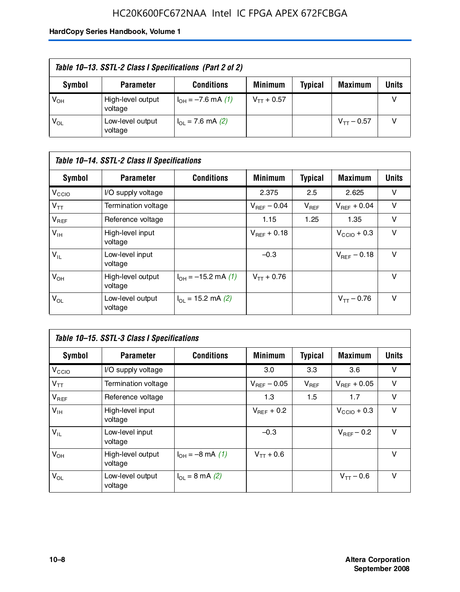### HC20K600FC672NAA Intel IC FPGA APEX 672FCBGA

| Table 10–13. SSTL-2 Class I Specifications (Part 2 of 2) |                              |                           |                 |                |                 |              |  |
|----------------------------------------------------------|------------------------------|---------------------------|-----------------|----------------|-----------------|--------------|--|
| Symbol                                                   | <b>Parameter</b>             | <b>Conditions</b>         | <b>Minimum</b>  | <b>Typical</b> | <b>Maximum</b>  | <b>Units</b> |  |
| $V_{OH}$                                                 | High-level output<br>voltage | $I_{OH} = -7.6$ mA (1)    | $V_{TT}$ + 0.57 |                |                 |              |  |
| $V_{OL}$                                                 | Low-level output<br>voltage  | $I_{\Omega}$ = 7.6 mA (2) |                 |                | $V_{TT}$ – 0.57 |              |  |

| Table 10–14. SSTL-2 Class II Specifications |                              |                            |                  |                |                  |              |  |
|---------------------------------------------|------------------------------|----------------------------|------------------|----------------|------------------|--------------|--|
| <b>Symbol</b>                               | <b>Parameter</b>             | <b>Conditions</b>          | <b>Minimum</b>   | <b>Typical</b> | <b>Maximum</b>   | <b>Units</b> |  |
| V <sub>CCIO</sub>                           | I/O supply voltage           |                            | 2.375            | 2.5            | 2.625            | v            |  |
| $V_{TT}$                                    | Termination voltage          |                            | $V_{BFF}$ – 0.04 | $V_{REF}$      | $V_{BFF}$ + 0.04 | v            |  |
| $V_{REF}$                                   | Reference voltage            |                            | 1.15             | 1.25           | 1.35             | v            |  |
| $V_{IH}$                                    | High-level input<br>voltage  |                            | $V_{BFF}$ + 0.18 |                | $V_{CCD}$ + 0.3  | v            |  |
| $V_{IL}$                                    | Low-level input<br>voltage   |                            | $-0.3$           |                | $V_{BFE} - 0.18$ | $\vee$       |  |
| $V_{OH}$                                    | High-level output<br>voltage | $I_{OH} = -15.2$ mA (1)    | $V_{TT} + 0.76$  |                |                  | v            |  |
| $V_{OL}$                                    | Low-level output<br>voltage  | $I_{\Omega}$ = 15.2 mA (2) |                  |                | $V_{TT} - 0.76$  | v            |  |

| Table 10–15. SSTL-3 Class I Specifications |                              |                         |                         |                |                         |              |  |
|--------------------------------------------|------------------------------|-------------------------|-------------------------|----------------|-------------------------|--------------|--|
| <b>Symbol</b>                              | <b>Parameter</b>             | <b>Conditions</b>       | <b>Minimum</b>          | <b>Typical</b> | <b>Maximum</b>          | <b>Units</b> |  |
| V <sub>CCIO</sub>                          | I/O supply voltage           |                         | 3.0                     | 3.3            | 3.6                     | v            |  |
| $V_{TT}$                                   | Termination voltage          |                         | $V_{\text{BFE}} - 0.05$ | $V_{REF}$      | $V_{BFF}$ + 0.05        | v            |  |
| $V_{REF}$                                  | Reference voltage            |                         | 1.3                     | 1.5            | 1.7                     | v            |  |
| $V_{\text{IH}}$                            | High-level input<br>voltage  |                         | $V_{BFE}$ + 0.2         |                | $V_{\text{CCIO}} + 0.3$ | v            |  |
| $V_{IL}$                                   | Low-level input<br>voltage   |                         | $-0.3$                  |                | $V_{BFF}$ – 0.2         | v            |  |
| $V_{OH}$                                   | High-level output<br>voltage | $I_{OH} = -8$ mA (1)    | $V_{TT} + 0.6$          |                |                         | $\vee$       |  |
| $V_{OL}$                                   | Low-level output<br>voltage  | $I_{\Omega}$ = 8 mA (2) |                         |                | $V_{TT} - 0.6$          | v            |  |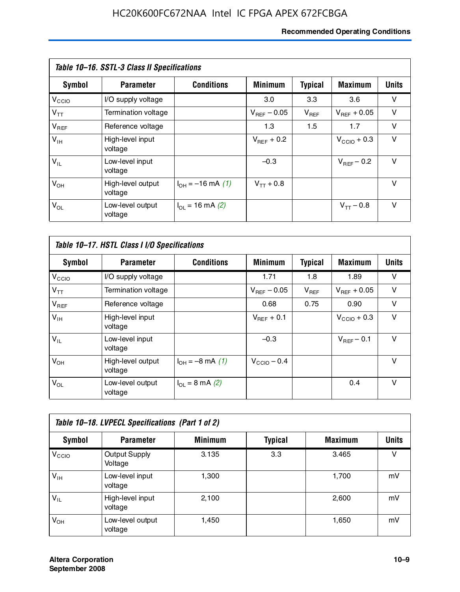#### **Recommended Operating Conditions**

| Table 10–16. SSTL-3 Class II Specifications |                              |                          |                         |                |                  |              |  |
|---------------------------------------------|------------------------------|--------------------------|-------------------------|----------------|------------------|--------------|--|
| Symbol                                      | <b>Parameter</b>             | <b>Conditions</b>        | <b>Minimum</b>          | <b>Typical</b> | <b>Maximum</b>   | <b>Units</b> |  |
| V <sub>CCIO</sub>                           | I/O supply voltage           |                          | 3.0                     | 3.3            | 3.6              | v            |  |
| $V_{TT}$                                    | Termination voltage          |                          | $V_{\text{BFE}} - 0.05$ | $V_{REF}$      | $V_{BFF}$ + 0.05 | v            |  |
| $V_{REF}$                                   | Reference voltage            |                          | 1.3                     | 1.5            | 1.7              | v            |  |
| $V_{IH}$                                    | High-level input<br>voltage  |                          | $V_{BFF}$ + 0.2         |                | $V_{CCD}$ + 0.3  | v            |  |
| $V_{IL}$                                    | Low-level input<br>voltage   |                          | $-0.3$                  |                | $V_{BFF}$ – 0.2  | $\vee$       |  |
| $V_{OH}$                                    | High-level output<br>voltage | $I_{OH} = -16$ mA (1)    | $V_{TT}$ + 0.8          |                |                  | v            |  |
| $V_{OL}$                                    | Low-level output<br>voltage  | $I_{\Omega}$ = 16 mA (2) |                         |                | $V_{TT} - 0.8$   | v            |  |

| Table 10-17. HSTL Class I I/O Specifications |                              |                             |                         |                |                  |              |  |
|----------------------------------------------|------------------------------|-----------------------------|-------------------------|----------------|------------------|--------------|--|
| Symbol                                       | <b>Parameter</b>             | <b>Conditions</b>           | <b>Minimum</b>          | <b>Typical</b> | <b>Maximum</b>   | <b>Units</b> |  |
| $V_{\rm CCIO}$                               | I/O supply voltage           |                             | 1.71                    | 1.8            | 1.89             | v            |  |
| $V_{TT}$                                     | Termination voltage          |                             | $V_{\text{BFF}}$ – 0.05 | $V_{REF}$      | $V_{BFF}$ + 0.05 | v            |  |
| $V_{REF}$                                    | Reference voltage            |                             | 0.68                    | 0.75           | 0.90             | $\vee$       |  |
| $V_{\text{IH}}$                              | High-level input<br>voltage  |                             | $V_{BFF}$ + 0.1         |                | $V_{CClO}$ + 0.3 | v            |  |
| $V_{IL}$                                     | Low-level input<br>voltage   |                             | $-0.3$                  |                | $V_{BFF}$ – 0.1  | $\vee$       |  |
| $V_{OH}$                                     | High-level output<br>voltage | $I_{OH} = -8$ mA (1)        | $V_{\text{CCIO}} - 0.4$ |                |                  | $\vee$       |  |
| $V_{OL}$                                     | Low-level output<br>voltage  | $I_{OL} = 8 \text{ mA} (2)$ |                         |                | 0.4              | $\vee$       |  |

| Table 10-18. LVPECL Specifications (Part 1 of 2) |                                 |                |                |                |              |  |  |
|--------------------------------------------------|---------------------------------|----------------|----------------|----------------|--------------|--|--|
| Symbol                                           | <b>Parameter</b>                | <b>Minimum</b> | <b>Typical</b> | <b>Maximum</b> | <b>Units</b> |  |  |
| V <sub>CIO</sub>                                 | <b>Output Supply</b><br>Voltage | 3.135          | 3.3            | 3.465          | v            |  |  |
| $V_{IH}$                                         | Low-level input<br>voltage      | 1,300          |                | 1,700          | mV           |  |  |
| $V_{IL}$                                         | High-level input<br>voltage     | 2.100          |                | 2,600          | mV           |  |  |
| $V_{OH}$                                         | Low-level output<br>voltage     | 1,450          |                | 1,650          | mV           |  |  |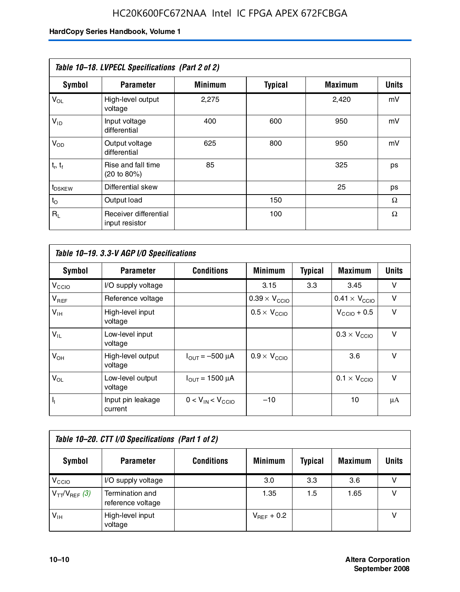| Table 10-18. LVPECL Specifications (Part 2 of 2) |                                         |                |                |                |              |  |  |
|--------------------------------------------------|-----------------------------------------|----------------|----------------|----------------|--------------|--|--|
| Symbol                                           | <b>Parameter</b>                        | <b>Minimum</b> | <b>Typical</b> | <b>Maximum</b> | <b>Units</b> |  |  |
| $V_{OL}$                                         | High-level output<br>voltage            | 2,275          |                | 2,420          | mV           |  |  |
| $V_{ID}$                                         | Input voltage<br>differential           | 400            | 600            | 950            | mV           |  |  |
| $V_{OD}$                                         | Output voltage<br>differential          | 625            | 800            | 950            | mV           |  |  |
| $t_r$ , $t_f$                                    | Rise and fall time<br>(20 to 80%)       | 85             |                | 325            | ps           |  |  |
| t <sub>DSKEW</sub>                               | Differential skew                       |                |                | 25             | ps           |  |  |
| $t_{\rm O}$                                      | Output load                             |                | 150            |                | Ω            |  |  |
| $R_{\rm L}$                                      | Receiver differential<br>input resistor |                | 100            |                | Ω            |  |  |

| Table 10–19. 3.3-V AGP I/O Specifications |                              |                               |                               |                |                               |              |  |
|-------------------------------------------|------------------------------|-------------------------------|-------------------------------|----------------|-------------------------------|--------------|--|
| Symbol                                    | <b>Parameter</b>             | <b>Conditions</b>             | <b>Minimum</b>                | <b>Typical</b> | <b>Maximum</b>                | <b>Units</b> |  |
| V <sub>CCIO</sub>                         | I/O supply voltage           |                               | 3.15                          | 3.3            | 3.45                          | v            |  |
| $V_{REF}$                                 | Reference voltage            |                               | $0.39 \times V_{\text{CCIO}}$ |                | $0.41 \times V_{\text{CCIO}}$ | v            |  |
| $V_{\text{IH}}$                           | High-level input<br>voltage  |                               | $0.5 \times V_{\text{CCIO}}$  |                | $V_{CCD}$ + 0.5               | v            |  |
| $V_{IL}$                                  | Low-level input<br>voltage   |                               |                               |                | $0.3 \times V_{\text{CCIO}}$  | v            |  |
| $V_{OH}$                                  | High-level output<br>voltage | $I_{\text{OUT}} = -500 \mu A$ | $0.9 \times V_{\text{CCIO}}$  |                | 3.6                           | $\vee$       |  |
| $V_{OL}$                                  | Low-level output<br>voltage  | $I_{\text{OUT}} = 1500 \mu A$ |                               |                | $0.1 \times V_{\text{CCIO}}$  | v            |  |
| $I_1$                                     | Input pin leakage<br>current | $0 < V_{IN} < V_{CCIO}$       | $-10$                         |                | 10                            | μA           |  |

| Table 10–20. CTT I/O Specifications (Part 1 of 2) |                                      |                   |                 |                |                |       |  |
|---------------------------------------------------|--------------------------------------|-------------------|-----------------|----------------|----------------|-------|--|
| <b>Symbol</b>                                     | <b>Parameter</b>                     | <b>Conditions</b> | <b>Minimum</b>  | <b>Typical</b> | <b>Maximum</b> | Units |  |
| V <sub>CIO</sub>                                  | I/O supply voltage                   |                   | 3.0             | 3.3            | 3.6            |       |  |
| $V_{TT}/V_{REF}$ (3)                              | Termination and<br>reference voltage |                   | 1.35            | 1.5            | 1.65           |       |  |
| $V_{IH}$                                          | High-level input<br>voltage          |                   | $V_{BFF}$ + 0.2 |                |                |       |  |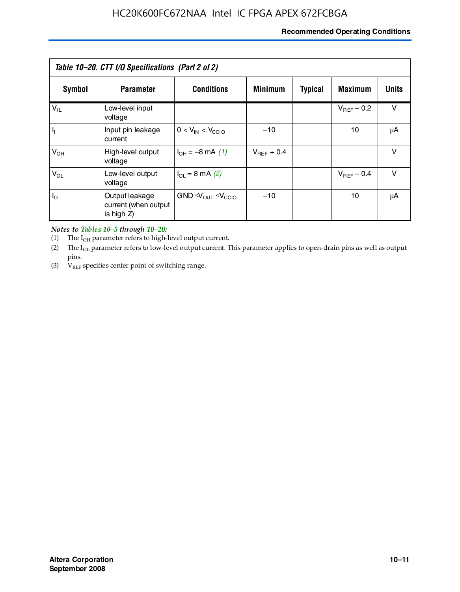#### **Recommended Operating Conditions**

| Table 10–20. CTT I/O Specifications (Part 2 of 2) |                                                      |                                             |                 |                |                 |              |  |
|---------------------------------------------------|------------------------------------------------------|---------------------------------------------|-----------------|----------------|-----------------|--------------|--|
| Symbol                                            | <b>Parameter</b>                                     | <b>Conditions</b>                           | <b>Minimum</b>  | <b>Typical</b> | <b>Maximum</b>  | <b>Units</b> |  |
| $V_{IL}$                                          | Low-level input<br>voltage                           |                                             |                 |                | $V_{BFF}$ – 0.2 | v            |  |
| H,                                                | Input pin leakage<br>current                         | $0 < V_{IN} < V_{CCIO}$                     | $-10$           |                | 10              | μA           |  |
| $V_{OH}$                                          | High-level output<br>voltage                         | $I_{OH} = -8$ mA (1)                        | $V_{BFF}$ + 0.4 |                |                 | $\vee$       |  |
| $V_{OL}$                                          | Low-level output<br>voltage                          | $I_{\Omega}$ = 8 mA (2)                     |                 |                | $V_{BFF}$ – 0.4 | $\vee$       |  |
| $I_{\odot}$                                       | Output leakage<br>current (when output<br>is high Z) | $GND \trianglelefteq V_{OUT} \leq V_{CCIO}$ | $-10$           |                | 10              | μA           |  |

*Notes to Tables 10–5 through 10–20:*

(1) The  $I_{OH}$  parameter refers to high-level output current.

(2) The  $I_{OL}$  parameter refers to low-level output current. This parameter applies to open-drain pins as well as output pins.

(3)  $V_{REF}$  specifies center point of switching range.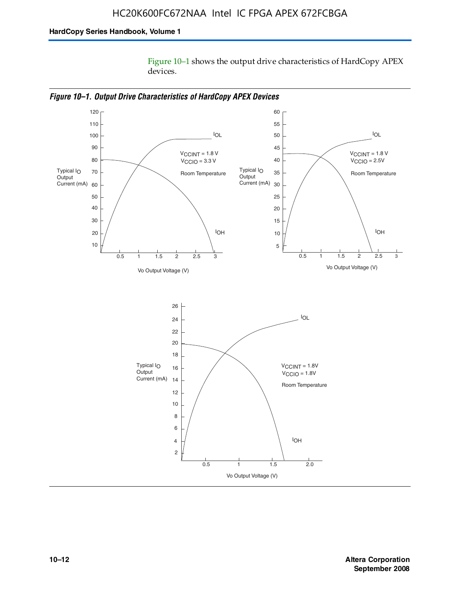Figure 10–1 shows the output drive characteristics of HardCopy APEX devices.



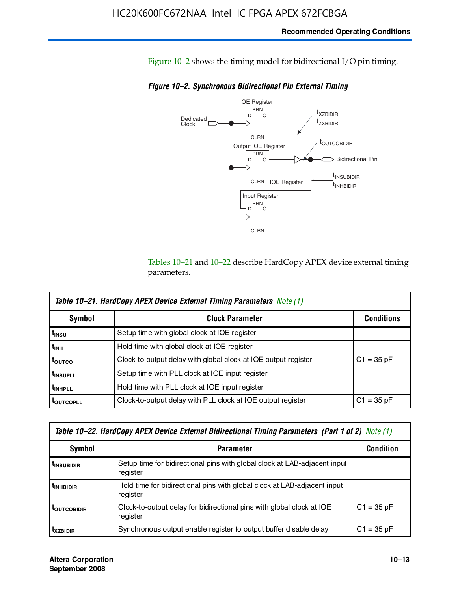Figure 10–2 shows the timing model for bidirectional I/O pin timing.

*Figure 10–2. Synchronous Bidirectional Pin External Timing*



Tables 10–21 and 10–22 describe HardCopy APEX device external timing parameters.

| <b>Table 10–21. HardCopy APEX Device External Timing Parameters</b> Note (1) |                                                                |                   |  |  |  |  |
|------------------------------------------------------------------------------|----------------------------------------------------------------|-------------------|--|--|--|--|
| Symbol                                                                       | <b>Clock Parameter</b>                                         | <b>Conditions</b> |  |  |  |  |
| t <sub>insu</sub>                                                            | Setup time with global clock at IOE register                   |                   |  |  |  |  |
| t <sub>інн</sub>                                                             | Hold time with global clock at IOE register                    |                   |  |  |  |  |
| ι <sub>ουτςο</sub>                                                           | Clock-to-output delay with global clock at IOE output register | $C1 = 35 pF$      |  |  |  |  |
| <b>t</b> INSUPLL                                                             | Setup time with PLL clock at IOE input register                |                   |  |  |  |  |
| t <sub>INHPLL</sub>                                                          | Hold time with PLL clock at IOE input register                 |                   |  |  |  |  |
| <b>LOUTCOPLL</b>                                                             | Clock-to-output delay with PLL clock at IOE output register    | $C1 = 35 pF$      |  |  |  |  |

| Table 10–22. HardCopy APEX Device External Bidirectional Timing Parameters (Part 1 of 2) Note (1) |                                                                                       |              |  |  |  |  |
|---------------------------------------------------------------------------------------------------|---------------------------------------------------------------------------------------|--------------|--|--|--|--|
| Symbol                                                                                            | <b>Condition</b>                                                                      |              |  |  |  |  |
| <b><i>L</i>INSUBIDIR</b>                                                                          | Setup time for bidirectional pins with global clock at LAB-adjacent input<br>register |              |  |  |  |  |
| <b>TINHBIDIR</b>                                                                                  | Hold time for bidirectional pins with global clock at LAB-adjacent input<br>register  |              |  |  |  |  |
| <b>LOUTCOBIDIR</b>                                                                                | Clock-to-output delay for bidirectional pins with global clock at IOE<br>register     | $C1 = 35 pF$ |  |  |  |  |
| <b>T</b> xzbidir                                                                                  | Synchronous output enable register to output buffer disable delay                     | $C1 = 35 pF$ |  |  |  |  |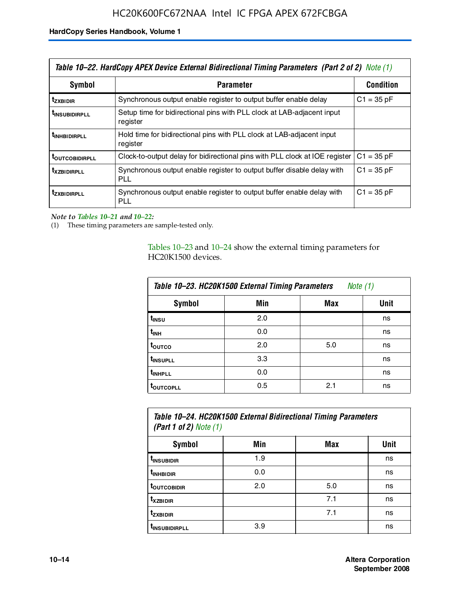| Table 10–22. HardCopy APEX Device External Bidirectional Timing Parameters (Part 2 of 2) Note (1) |                                                                                    |                  |  |  |  |
|---------------------------------------------------------------------------------------------------|------------------------------------------------------------------------------------|------------------|--|--|--|
| Symbol                                                                                            | <b>Parameter</b>                                                                   | <b>Condition</b> |  |  |  |
| t <sub>zxbidir</sub>                                                                              | Synchronous output enable register to output buffer enable delay                   | $C1 = 35 pF$     |  |  |  |
| <b>t</b> insubidirpll                                                                             | Setup time for bidirectional pins with PLL clock at LAB-adiacent input<br>register |                  |  |  |  |
| <b><i>LINHBIDIRPLL</i></b>                                                                        | Hold time for bidirectional pins with PLL clock at LAB-adjacent input<br>register  |                  |  |  |  |
| <b>TOUTCOBIDIRPLL</b>                                                                             | Clock-to-output delay for bidirectional pins with PLL clock at IOE register        | $C1 = 35 pF$     |  |  |  |
| <b>TXZBIDIRPLL</b>                                                                                | Synchronous output enable register to output buffer disable delay with<br>PLL      | $C1 = 35 pF$     |  |  |  |
| <i>t</i> zxbidirpll                                                                               | Synchronous output enable register to output buffer enable delay with<br>PLI.      | $C1 = 35 pF$     |  |  |  |

*Note to Tables 10–21 and 10–22:*

(1) These timing parameters are sample-tested only.

Tables 10–23 and 10–24 show the external timing parameters for HC20K1500 devices.

| Table 10-23. HC20K1500 External Timing Parameters<br>Note (1) |     |     |      |
|---------------------------------------------------------------|-----|-----|------|
| <b>Symbol</b>                                                 | Min | Max | Unit |
| t <sub>INSU</sub>                                             | 2.0 |     | ns   |
| $t_{\sf INH}$                                                 | 0.0 |     | ns   |
| t <sub>outco</sub>                                            | 2.0 | 5.0 | ns   |
| t <sub>INSUPLL</sub>                                          | 3.3 |     | ns   |
| t <sub>INHPLL</sub>                                           | 0.0 |     | ns   |
| <b>toutcopll</b>                                              | 0.5 | 2.1 | ns   |

| Table 10-24. HC20K1500 External Bidirectional Timing Parameters<br>(Part 1 of 2) Note $(1)$ |     |     |      |
|---------------------------------------------------------------------------------------------|-----|-----|------|
| Symbol                                                                                      | Min | Max | Unit |
| t <sub>insubidir</sub>                                                                      | 1.9 |     | ns   |
| t <sub>in HBIDIR</sub>                                                                      | 0.0 |     | ns   |
| <b>TOUTCOBIDIR</b>                                                                          | 2.0 | 5.0 | ns   |

**tXZBIDIR** 7.1 ns **t<sub>zxbidir</sub>** https://www.flood.com/distance/community/community/community/community/community/community/community/ t<sub>INSUBIDIRPLL</sub> 3.9 and 3.9 ns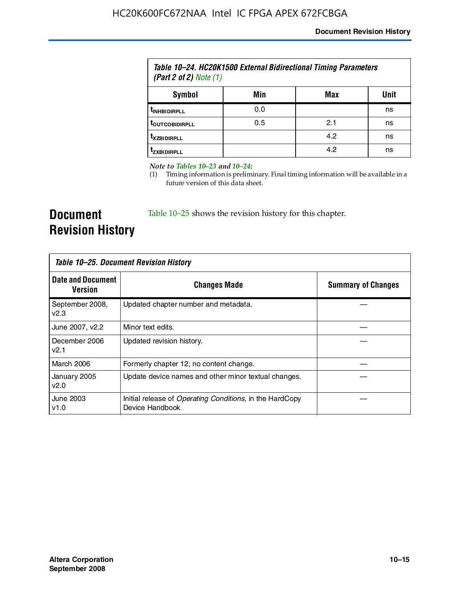| Table 10–24. HC20K1500 External Bidirectional Timing Parameters<br>(Part 2 of 2) Note $(1)$ |     |     |      |
|---------------------------------------------------------------------------------------------|-----|-----|------|
| Symbol                                                                                      | Min | Max | Unit |
| <b><i>UNHBIDIRPLL</i></b>                                                                   | 0.0 |     | ns   |
| <b><i>LOUTCOBIDIRPLL</i></b>                                                                | 0.5 | 2.1 | ns   |
| <b>T</b> XZBIDIRPLL                                                                         |     | 4.2 | ns   |
| Izxridirpi i                                                                                |     | 4.2 | ns   |

*Note to Tables 10–23 and 10–24:*

(1) Timing information is preliminary. Final timing information will be available in a future version of this data sheet.

**Document Revision History**

Table 10–25 shows the revision history for this chapter.

| Table 10–25. Document Revision History     |                                                                                     |                           |
|--------------------------------------------|-------------------------------------------------------------------------------------|---------------------------|
| <b>Date and Document</b><br><b>Version</b> | <b>Changes Made</b>                                                                 | <b>Summary of Changes</b> |
| September 2008,<br>v2.3                    | Updated chapter number and metadata.                                                |                           |
| June 2007, v2.2                            | Minor text edits.                                                                   |                           |
| December 2006<br>v2.1                      | Updated revision history.                                                           |                           |
| March 2006                                 | Formerly chapter 12; no content change.                                             |                           |
| January 2005<br>v2.0                       | Update device names and other minor textual changes.                                |                           |
| June 2003<br>v1.0                          | Initial release of <i>Operating Conditions</i> , in the HardCopy<br>Device Handbook |                           |